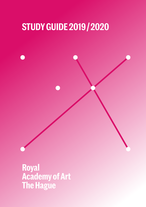# **STUDY GUIDE 2019/2020**



**Royal<br>Academy of Art<br>The Hague**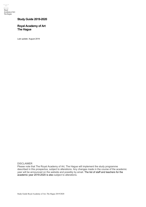$\frac{1}{2}$  ,  $\frac{1}{2}$  ,  $\frac{1}{2}$ Royal<br>Academy of Art<br>The Hague

## **Study Guide 2019-2020**

# **Royal Academy of Art The Hague**

Last update: August 2019

DISCLAIMER

Please note that The Royal Academy of Art, The Hague will implement the study programme described in this prospectus, subject to alterations. Any changes made in the course of the academic year will be announced on the website and possibly by email. The list of staff and teachers for the academic year 2019-2020 is also subject to alterations.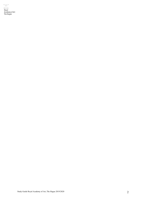$\frac{1}{\sqrt{2}}$  $\overline{\phantom{a}}$ Royal<br>Academy of Art<br>The Hague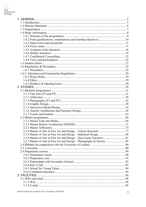| 1.4.2 Final qualifications, competencies and learning objectives  10    |  |
|-------------------------------------------------------------------------|--|
|                                                                         |  |
|                                                                         |  |
|                                                                         |  |
|                                                                         |  |
|                                                                         |  |
|                                                                         |  |
|                                                                         |  |
|                                                                         |  |
|                                                                         |  |
|                                                                         |  |
|                                                                         |  |
|                                                                         |  |
|                                                                         |  |
|                                                                         |  |
|                                                                         |  |
|                                                                         |  |
|                                                                         |  |
|                                                                         |  |
|                                                                         |  |
|                                                                         |  |
|                                                                         |  |
|                                                                         |  |
|                                                                         |  |
|                                                                         |  |
|                                                                         |  |
| 233 Master ArtScience                                                   |  |
|                                                                         |  |
|                                                                         |  |
| 2.3.6 Master of Arts in Fine Art and Design - Non-Linear Narrative  81  |  |
| 2.3.7 Master of Arts in Fine Art and Design - Photography & Society  84 |  |
|                                                                         |  |
|                                                                         |  |
|                                                                         |  |
|                                                                         |  |
|                                                                         |  |
|                                                                         |  |
|                                                                         |  |
|                                                                         |  |
|                                                                         |  |
|                                                                         |  |
|                                                                         |  |
|                                                                         |  |
|                                                                         |  |
|                                                                         |  |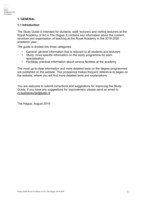# **1. GENERAL**

## **1.1 Introduction**

The Study Guide is intended for students, staff, lecturers and visiting lecturers at the Royal Academy of Art in The Hague. It contains key information about the content, structure and organisation of teaching at the Royal Academy in the 2019-2020 academic year.

The guide is divided into three categories:

- General: general information that is relevant to all students and lecturers
- Study: more specific information on the study programme for each specialisation
- Facilities: practical information about various facilities at the academy

The most up-to-date information and more detailed texts on the degree programmes are published on the website. This prospectus makes frequent reference to pages on the website, where you will find more detailed texts and explanations.

You are welcome to submit corrections and suggestions for improving the Study Guide. If you have any suggestions for improvement, please send an email to: m.bestebreurtje@kabk.nl

The Hague, August 2019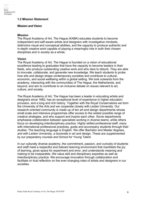## **1.2 Mission Statement**

## **Mission and Vision**

## **Mission**

The Royal Academy of Art, The Hague (KABK) educates students to become independent and self-aware artists and designers with investigative mindsets, distinctive visual and conceptual abilities, and the capacity to produce authentic and in-depth creative work capable of playing a meaningful role in both their chosen disciplines and in society as a whole.

## **Vision**

The Royal Academy of Art, The Hague is founded on a vision of educational excellence leading to graduates that have the capacity to become leaders in their fields, who produce outstanding creative work and who dare to disturb. They are able to innovate, collaborate, and generate new knowledge. We teach students to probe how arts and design shape contemporary societies and contribute to cultural. economic, and social wellbeing within a global setting. We look outwards from the academy, interacting with the communities of The Hague, the Netherlands, and beyond, and aim to contribute to an inclusive debate on issues relevant to art, culture, and society.

The Royal Academy of Art, The Hague has been a leader in educating artists and designers since 1682, has an exceptional level of experience in higher education provision, and a long and rich history. Together with the Royal Conservatoire we form the University of the Arts and we cooperate closely with Leiden University. Our research-oriented community is made up of ten art and design departments whose small scale and intensive programmes offer access to the widest possible range of creative strategies, and who support and inspire each other. Some departments emphasise collaboration between specialists working in diverse teams, while others focus on developing interdisciplinary practice. Highly skilled professional staff, many with international professional practices, guide and accompany students through their studies. The teaching language is English. We offer Bachelor and Master degrees, and with Leiden University, a doctorate in art and design. These are supplemented by our preparatory courses and School for Young Talent.

In our culturally diverse academy, the commitment, passion, and curiosity of students and staff meet a respectful and tolerant learning environment that manifests the joy of learning, gives space for experiment and error, and understands meaning and making to be inseparable. We value skill and disciplinary expertise as well as interdisciplinary practice. We encourage innovation through collaboration and facilitate cri tical reflection on the ever-changing roles of artists and designers in our societies.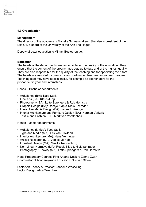## **1.3 Organisation**

## **Management**

The director of the academy is Marieke Schoenmakers. She also is president of the Executive Board of the University of the Arts The Hague.

Deputy director education is Miriam Bestebreurtje.

#### **Education**

The heads of the departments are responsible for the quality of the education. They ensure that the content of the programmes stay up to date and of the highest quality. They are also responsible for the quality of the teaching and for appointing the tutors. The heads are assisted by one or more coordinators, teachers and/or team leaders. Teaching staff may have special tasks, for example as coordinators for the propaedeutic year and internships.

Heads – Bachelor departments

- ArtScience (BA): Taco Stolk
- Fine Arts (BA): Klaus Jung
- Photography (BA): Lotte Sprengers & Rob Hornstra
- Graphic Design (BA): Roosje Klap & Niels Schrader
- Interactive Media Design (BA): Janine Huizenga
- Interior Architecture and Furniture Design (BA): Herman Verkerk
- Textile and Fashion (BA): Mark van Vorstenbos

Heads - Master departments:

- ArtScience (MMus): Taco Stolk
- Type and Media (MA): Erik van Blokland
- Interior Architecture (MA): Hans Venhuizen
- Artistic Research (MA): Janice McNab
- Industrial Design (MA): Maaike Roozenburg
- Non-Linear Narrative (MA): Roosje Klap & Niels Schrader
- Photography &Society (MA): Lotte Sprengers & Rob Hornstra

Head Preparatory Courses Fine Art and Design: Zanne Zwart Coordinator of Academy-wide Education: Niki van Strien

Lector Art Theory & Practice: Janneke Wesseling Lector Design: Alice Twemlow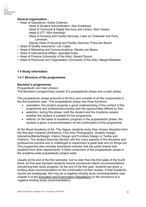# **General organisation**

- Head of Operations: Gytha Coleman
	- Head of Student Administration: Alex Kortekaas
	- Head of Technical & Digital Services and Library: Bart Vissers
	- Head of ICT: Wim Harrewijn
	- Head of Housing and Facility Services: Lilian du Chatenier and Ferry **Lemmers**
	- Deputy Head of Housing and Facility Services: Frans ten Bosch
- Head of Quality Assurance: Leo Capel
- Head of Marketing and Communications: Nienke van Beers
- Head of International Affairs: Aparaiita Dutta
- Head of Finance (University of the Arts): Gerard Zanoni
- Head of Personnel and Organisation (University of the Arts): Margot Bebseler

# **1.4 Study information**

## **1.4.1 Structure of the programmes**

## **Bachelor's programmes**

*Propaedeutic and main phases*

The Bachelor's programmes consist of a propaedeutic phase and a main phase.

The propaedeutic phase amounts to 60 ECs and consists of all the components in the first academic year. This propaedeutic phase has three functions:

- orientation: the student acquires a good understanding of the content of the programme and professional practice and the opportunities offered by this;
- selection: during this phase, both the student and the Academy assess whether the student is suitable for the programme;
- referral: on the basis of academic progress in the propaedeutic phase, the student is given a recommendation on the continuation of the programme.

At the Royal Academy of Art, The Hague, students study their chosen discipline from the first year onwards (ArtScience, Fine Arts, Photography, Graphic Design, Interactive/Media/Design, Interior Design and Furniture Design or Textile and Fashion). The student becomes familiar with the many aspects of the discipline and professional practice and is challenged to experiment a great deal and try things out. The programme also includes theoretical modules that are partly shared with students from other departments. A fixed component of the propaedeutic phase is the academy-wide propaedeutic project week.

Usually at the end of the first semester, but no later than the first week of the fourth block, all first-year bachelor students receive provisional interim recommendations concerning their study progress. At the end of the first year, students are given a binding study recommendation on the continuation of their studies. If their academic results are inadequate, this may be a negative binding study recommendation (see chapter 6 of the Education and Examination Regulations on the provisions of a negative binding study recommendation).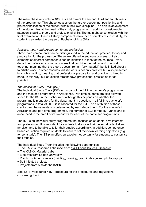The main phase amounts to 180 ECs and covers the second, third and fourth years of the programme. This phase focuses on the further deepening, positioning and professionalisation of the student within their own discipline. The artistic development of the student lies at the heart of the study programme. In addition, considerable attention is paid to theory and professional skills. The main phase concludes with the final examination. Once all study components have been completed successfully, the student is awarded the degree of Bachelor of Arts (BA).

## *Practice, theory and preparation for the profession*

Three main components can be distinguished in the education: practice, theory and preparation for the profession. These are offered in separate courses, but also elements of different components can be identified in most of the courses. Every department offers one or more courses that combine theoretical and practical teaching, meaning that the theory doesn't remain 'dry material', but is linked directly to artistic work. In other modules, artistic work is not only created, but also presented in a public setting, meaning that professional preparation and practice go hand in hand. In this way, our education foreshadows professional practice as far as possible.

## *The Individual Study Track (IST)*

The Individual Study Track (IST) forms part of the fulltime bachelor's programmes and the master's programme in ArtScience. Part-time students are also allowed space for the IST in their schedules, although this depends on whether the programme is mandatory for the department in question. In all fulltime bachelor's programmes, a total of 30 ECs is allocated for the IST. The distribution of these credits over the semesters is determined by each department. For the master's in ArtScience and part-time programmes, the number of ECs for the IST varies and is announced in the credit point overviews for each of the particular programmes.

The IST is an individual study programme that focuses on students' own interests and preferences. It is important for students to discover their personal potential and ambition and to be able to tailor their studies accordingly. In addition, competencebased education requires students to learn to set their own learning objectives (e.g., for self-study). The IST plan offers an excellent opportunity for students to customise their studies.

The Individual Study Track includes the following opportunities:

- + The KABK's Research Labs (see also: 1.4.4 Focus Issues > Research)
- + The KABK's Material Labs
- + Electives from Leiden University
- + Practicum Artium classes (painting, drawing, graphic design and photography)
- + Self-initiated projects
- + Projects from outside the KABK

See 1.6.1 Procedures > IST procedure for the procedures and regulations concerning the IST.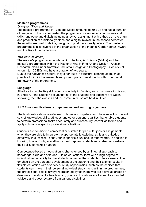#### **Master's programmes**

#### *One-year (Type and Media)*

The master's programme in Type and Media amounts to 60 ECs and has a duration of one year. In the first semester, the programme covers various techniques and skills (analogue and digital) including a revival assignment with a thesis on the origin and production of a historic typeface and a digital revival. In the second semester these skills are used to define, design and produce a new typeface. The master's programme is also involved in the organization of the triennial Gerrit Noordzij Award and the Robothon conference.

#### *Two-year (all others)*

The master's programmes in Interior Architecture, ArtScience (MMus) and the master's programmes within the Master of Arts in Fine Art and Design - Artistic Research, Non-Linear Narrative, Industrial Design and Photography & Society - all amount to 120 ECs and have a duration of two years.

Due to their advanced nature, they differ quite in structure, catering as much as possible for individual research and project plans from students within the overall framework of the programme.

#### **Language**

All education at the Royal Academy is initially in English, and communication is also in English. If the situation occurs that all of the students and teachers are Dutchspeaking, then the classes and the communication are held in Dutch.

#### **1.4.2 Final qualifications, competencies and learning objectives**

The final qualifications are defined in terms of competencies. These refer to coherent sets of knowledge, skills, attitudes and other personal qualities that enable students to perform professional tasks adequately and successfully, as well as to find and apply solutions in specific professional situations.

Students are considered competent or suitable for particular jobs or assignments when they are able to integrate the appropriate knowledge, skills and attitudes effectively in successful behaviour in specific situations. In other words, in addition to knowing how and why something should happen, students must also demonstrate their ability to make it happen.

Competence-based art education is characterised by an integral approach to knowledge, skills and attitudes. It is an educational form with a high degree of individual responsibility for the students, aimed at the students' future careers. The emphasis on the personal development of the students and their talents results in flexible education with a variety of study opportunities, such as the choices that students can make in their personal individual study track. Within the programmes, the professional field is always represented by teachers who are active as artists or designers in addition to their teaching practice. Invitations are frequently extended to advisers and guest lecturers from various disciplines.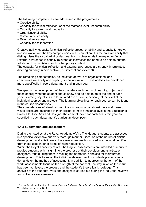

The following competencies are addressed in the programmes:

- + Creative ability
- + Capacity for critical reflection, or at the master's level: research ability
- + Capacity for growth and innovation
- + Organisational ability
- + Communicative ability
- + External awareness
- + Capacity for collaboration

Creative ability, capacity for critical reflection/research ability and capacity for growth and innovation are the key competencies in art education. It is the creative ability that distinghuises the visual artist or designer from professionals in many other fields. External awareness is equally relevant, as it stresses the need to be able to put the artistic work in its historic and contemporary context.

The capacity for critical reflection and external awareness are strongly interrelated, differing primarily in perspective (i.e., internal and external).

The remaining competencies, as indicated above, are organisational and communicative ability and capacity for collaboration. These abilities are developed more specifically in every department and in each year.

We specify the development of the competencies in terms of 'learning objectives': these specify what the student should know and be able to do at the end of each year. Learning objectives are formulated even more specifically at the level of the individual courses and projects. The learning objectives for each course can be found in the course descriptions.

The competencies of visual communication/product/spatial designers and those of visual artists are described in their original form at a national level in the Educational Profiles for Fine Arts and Design<sup>1</sup>. The competencies for each academic year are specified in each department's curriculum description.

## **1.4.3 Supervision and assessment**

During their studies at the Royal Academy of Art, The Hague, students are assessed in a specific, extensive and very thorough manner. Because of the nature of artistic development and artistic work, the assessment methods used in art education differ from those used in other forms of higher education.

Within the Royal Academy of Art, The Hague, assessments are intended primarily to provide students with insight into the progress of their development as artists or designers, thus guiding them in making the appropriate choices for their further development. This focus on the individual development of students places special demands on the method of assessment. In addition to addressing the form of the work, assessments focus on the strength of the concept, the way in which the result has been achieved, the process and the student's theoretical knowledge. This analysis of the students' work and designs is carried out during the individual reviews and collective assessments.

 $\overline{a}$ 

<sup>1</sup> Overleg Beeldende Kunsten. *Beroepsprofiel en opleidingsprofielen Beeldende Kunst en Vormgeving.* Den Haag: Vereniging Hogescholen 2014.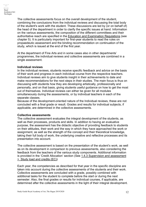The collective assessments focus on the overall development of the student, combining the conclusions from the individual reviews and discussing the total body of the student's work with the student. These discussions are led by (or on behalf of) the head of the department in order to clarify the specific issues at hand. Information on the various assessments, the composition of the different committees and their authoritative reach are specified in the Education and Examination Regulations (see chapter 5). It is particularly important for first-year students to read the rules on propaedeutic assessment and the binding recommendation on continuation of the study, which is issued at the end of the first year.

At the department of Fine Arts and in some cases also in other departments' programmes, the individual reviews and collective assessments are combined in a single assessment.

#### **Individual reviews**

In the individual reviews, students receive specific feedback and advice on the basis of their work and progress in each individual course from the respective teachers. Individual reviews aim to give students insight in their achievements to date and make recommendations for the next steps in their studies. The main focus is thus on discussing with students how they are developing artistically, professionally and personally, and on that basis, giving students useful guidance on how to get the most out of themselves. Individual reviews can either be given for all modules simultaneously during the assessments, or by individual teachers in each of the separate classes.

Because of the development-oriented nature of the Individual reviews, these are not concluded with a final grade or result. Grades and results for individual subjects, if applicable, are determined in the collective assessments.

## **Collective assessments**

The collective assessment evaluates the integral development of the students, as well as their processes, products and skills. In addition to having an evaluative purpose, the assessment has the didactic objective of providing feedback to students on their attitudes, their work and the way in which they have approached the work or assignment, as well as the strength of the concept and their theoretical knowledge, taking their full body of work, the underlying creative and reflective processes and its presentation into account.

The collective assessment is based on the presentation of the student's work, as well as on its development in comparison to previous assessments, also considering the feedback from the teachers of the various study components. Additional information is provided in the 'Credit Allocation' section (See 1.4.3 Supervision and assessment > Study load and credits (EC))

Each year, the competencies as described for that year in the specific discipline are taken into account during the collective assessments of the students and their work. Collective assessments are concluded with a grade, possibly combined with additional tasks for the student to complete before the start or during the next semester. Also, the final grades or results for individual courses, if applicable, are determined after the collective assessments in the light of their integral development.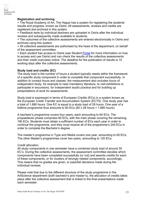## **Registration and archiving**

+ The Royal Academy of Art, The Hague has a system for registering the students' results and progress, known as Osiris. All assessments, reviews and credits are registered and archived in this system.

+ Feedback texts by individual teachers are uploaded in Osiris after the individual reviews and subsequently made available to students.

+ The outcomes of the collective assessments are entered electronically in Osiris and archived using this system.

+ All collective assessments are authorised by the head of the department, on behalf of the assessment committee.

+ Each student has access to Osiris (see Student Portal for more information on how to access and use Osiris) and can check the results of the collective assessments and their credit overviews online. The deadline for the publication of results is 15 working days after the collective assessments.

## **Study load and credits (EC)**

The study load is the number of hours a student typically needs within the framework of a specific study component in order to complete that component successfully. In addition to contact hours and classes, the measurement also includes hours of independent study, for example to read mandatory literature, to visit exhibitions or participate in excursions, for independent studio practice and for building up presentations of work for assessments.

Study load is expressed in terms of European Credits (ECs) in a system known as the European Credit Transfer and Accumulation System (ECTS). One study year has a total of 1,680 hours. One EC is equal to a study load of 28 hours. One year of a fulltime programme thus amounts to 60 ECs (60 x 28 hours = 1,680 hours).

A bachelor's programme covers four years, each amounting to 60 ECs. The propaedeutic phase comprises 60 ECs, with the main phase covering the remaining 180 ECs. Students must obtain a sufficient number of ECs each year in order to continue the programme, and they must receive all of the programme's 240 ECs in order to complete the Bachelor's degree.

The master's programme in Type and Media covers one year, amounting to 60 ECs. The other Master's programmes cover two years, amounting to 120 ECs.

#### *Credit allocation*

All study components in one semester have a combined study load of around 30 EC's. During the collective assessments, the assessment committee decides which components have been completed successfully (or not) and awards credits for each of these components, or for clusters of strongly related components, accordingly. This means that no grades are given, or pass/fail decisions made during the individual reviews.

Please note that due to the different structure of the study programme in the ArtScience department (both bachelor's and master's), the allocation of credits takes place after the collective assessment that is linked to the final presentations made each semester.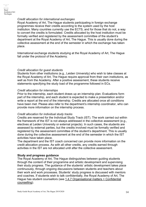$\mathcal{L}_{\mathbf{a}}$ Roval Academy of Art The Hague

#### *Credit allocation for international exchanges*

Royal Academy of Art, The Hague students participating in foreign exchange programmes receive their credits according to the system used by the host institution. Many countries currently use the ECTS, and for those that do not, a way to convert the credits is formulated. Credits allocated by the host institution must be formally verified and registered by the assessment committee of the student's department at the Royal Academy of Art, The Hague. This is usually done during the collective assessment at the end of the semester in which the exchange has taken place.

International exchange students studying at the Royal Academy of Art, The Hague fall under the protocol of the Academy.

#### *Credit allocation for guest students*

Students from other institutions (e.g., Leiden University) who wish to take classes at the Royal Academy of Art, The Hague require approval from their own institutions, as well as from the Academy. After a positive assessment, these students receive statements specifying the study load of the programme followed in ECs.

#### *Credit allocation for internships*

Prior to the internship, each student draws up an internship plan. Evaluations form part of the internship, and each student is expected to make a presentation and/or write a report at the end of the internship. Credits are allocated once all conditions have been met. Please also refer to the department's internship coordinator, who can provide more information on the internship process.

#### *Credit allocation for individual study tracks*

Credits are reserved for the Individual Study Track (IST). The work carried out within the framework of the IST is not always addressed in the collective assessment (e.g., electives at Leiden University or external projects). In such cases, the students are assessed by external parties, but the credits involved must be formally verified and registered by the assessment committee of the student's department. This is usually done during the collective assessment at the end of the semester in which the IST activities have taken place.

The department and the IST coach concerned can provide more information on the credit allocation process. As with all other credits, any credits earned through activities in the IST are not allocated until after the collective assessment.

#### **Study and progress guidance**

The Royal Academy of Art, The Hague distinguishes between guiding students through the content of their programme and artistic development and supervising their study progress. The guidance of the students' artistic development takes place continuously, through ongoing discussions between students and teachers about their work and work processes. Students' study progress is discussed with mentors and coaches. If students wish to talk confidentially, the Royal Academy of Art, The Hague has student counsellors (see 1.4.7 Organisational matters > Confidential counselling).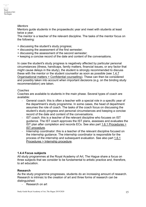# *Mentors*

Mentors guide students in the propaedeutic year and meet with students at least twice a year.

The mentor is a teacher of the relevant discipline. The tasks of the mentor focus on the following:

- + discussing the student's study progress;
- + discussing the assessment of the first semester;
- + discussing the assessment of the second semester;
- + keeping a concise record of the date and content of the conversations.

In case the student's study progress is negatively affected by particular personal circumstances (illness, handicaps, family matters, financial issues, or any factor that might cause delays in the study), the student is strongly recommended to discuss these with the mentor or the student counsellor as soon as possible (see 1.4.7 Organisational matters > Confidential counselling). These can then be considered and possibly taken into account when important decisions (e.g. on the binding study recommendation) are taken.

## *Coaches*

Coaches are available to students in the main phase. Several types of coach are available:

- General coach: this is often a teacher with a special role in a specific year of the department's study programme. In some cases, the head of department assumes the role of coach. The tasks of the coach focus on discussing the student's study progress and personal circumstances and keeping a concise record of the date and content of the conversations.
- IST coach: this is a teacher of the relevant discipline who focuses on IST guidance. The IST coach approves the IST plans, assesses and evaluates the IST plan after completion and records ECs. See also part 1.6.1 Procedures > IST procedure.
- Internship coordinator: this is a teacher of the relevant discipline focused on the internship guidance. The internship coordinator is responsible for the process of the internship and subsequent evaluation. See also part 1.6.1 Procedures > Internship procedure.

# **1.4.4 Focus subjects**

All study programmes at the Royal Academy of Art, The Hague share a focus on three subjects that we consider to be fundamental to artistic practice and, therefore, to art education.

# **Research**

As the study programme progresses, students do an increasing amount of research. Research is intrinsic to the creation of art and three forms of research can be distinguished:

- Research on art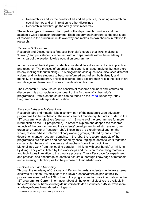- Research for and for the benefit of art and art practice, including research on social themes and art in relation to other disciplines
- Research in and through the arts (artistic research)

These three types of research form part of the departments' curricula and the academic-wide education programme. Each department incorporates the four types of research in the curriculum in its own way and makes its own choices in relation to research.

#### *Research & Discourse*

Research and Discourse is a first-year bachelor's course that links 'making' to 'thinking' and puts students in contact with all departments within the academy. It forms part of the academic-wide education programme.

In the course of the first year, students consider different aspects of artistic practice and research. The practice of an artist or designer is all about making, but can there be any making without thinking? This programme asks questions, discusses different visions, and invites students to become informed and reflect, both visually and mentally, on contemporary artistic discourse. They explore their role in the field of art and design and learn how to speak or write about this role.

The Research & Discourse course consists of research seminars and lectures on discourse. It is a compulsory component of the first year of all bachelor's programmes. Details on the course can be found on the Portal under My Study Programme > Academy-wide education.

## *Research Labs and Material Labs*

Research labs and material labs also form part of the academic-wide education programme for the bachelor's. These labs are not mandatory, but are included in the IST programme as electives (see part 1.4.1 Structure of the programmes for more information on the IST programme). In order to explore and deepen the research aspects of the programme and the students' development in artistic research, we organise a number of 'research labs'. These labs are experimental and, on the whole, research-based interdisciplinary working groups, offered by one or more departments and/or research domains. In the labs, the research aspects of the programmes are explored and deepened by encouraging students to work together on particular themes with students and teachers from other disciplines. Material labs work from the leading paradigm 'thinking with your hands' of 'thinking

by doing'. They are initiated by the workshops and focus on researching materials and techniques in relation to the creative process. They offer space for experiment and practice, and encourage students to acquire a thorough knowledge of materials and mastering of techniques for the purpose of their artistic work.

## *Electives at Leiden University*

Through the Academy of Creative and Performing Arts, students may follow external electives at Leiden University or at the Royal Conservatoire as part of their IST programme (see part 1.4.1 Structure of the programmes for more information on the IST programme). Current information about all the external electives is available in the e-Prospectus: https://studiegids.universiteitleiden.nl/studies/7845/keuzevakkenacademy-of-creative-and-performing-arts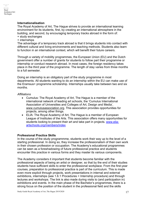## **Internationalisation**

The Royal Academy of Art, The Hague strives to provide an international learning environment for its students, first, by creating an international atmosphere in the building, and second, by encouraging temporary tracks abroad in the form of: + study exchanges

+ internships

The advantage of a temporary track abroad is that it brings students into contact with different cultural and living environments and teaching methods. Students also learn to function in an international context, which will benefit their future careers.

Through a variety of mobility programmes, the European Union (EU) and the Dutch government offer a number of grants for students to follow part their programme or internship or conduct research abroad. In most cases, the foreign residency takes place in the third year of the programme. The length of stay varies from three months to a full semester.

Doing an internship is an obligatory part of the study programme in most departments. All students wanting to do an internship within the EU can make use of the Eramsus+ programme scholarship. Internships usually take between two and six months.

#### *Affiliations*

- Cumulus: The Royal Academy of Art, The Hague is a member of the international network of leading art schools, the 'Cumulus International Association of Universities and Colleges of Art, Design and Media', www.cumulusassociation.org. This association provides opportunities for projects, among other things.
- ELIA: The Royal Academy of Art. The Hague is a member of European League of Institutes of the Arts. This association offers many opportunities for students looking to present their art and take part in projects. www.eliaartschools.org/members/index

## **Professional Practice Skills**

In the course of the study programmme, students work their way up to the level of a starting professional. In doing so, they increase the professionalism of their own work in their chosen profession or occupation. The Academy's educational programmes can be seen as a foreshadowing of future professional practice and students encounter this practice in various forms and they master its various components.

The Academy considers it important that students become familiar with the professional aspects of being an artist or designer, so that by the end of their studies students have sufficient skills to enter the professional workplace. From the first-year courses, preparation to professional practice is part of the curriculum. This is made even more explicit through projects, work presentations in internal and external exhibitions, internships (see 1.6.1 Procedures > Internship procedure) and through lectures and workshops. The link is also made during visits to (and participation in) exhibitions and events. In the main phase of the Bachelor's programmes, there is a strong focus on the position of the student in the professional field and the skills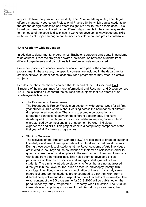required to take that position successfully. The Royal Academy of Art, The Hague offers a mandatory course on Professional Practice Skills, which equips students for the art and design profession and offers insight into how to realise their ideas. This broad programme is facilitated by the different departments in their own way related to the needs of the specific disciplines. It works on developing knowledge and skills in the areas of project management, business development and professionalisation.

# **1.4.5 Academy-wide education**

In addition to departmental programmes, Bachelor's students participate in academywide courses. From the first year onwards, collaboration between students from different departments and disciplines is therefore actively encouraged.

Some components of academy-wide education form part of the compulsory programme. In these cases, the specific courses are included in the departmental credit overviews. In other cases, academy-wide programmes may refer to elective subjects.

Besides the abovementioned courses that form part of the IST (see part 1.4.1 Structure of the programmes for more information) and Research and Discourse (see 1.4.4 Focus issues > Research) the courses and subjects that are offered at an academy-wide level are:

• The Propaedeutic Project week

The Propaedeutic Project Week is an academy-wide project week for all firstyear students. This week is about working across the boundaries of different disciplines in art education. The aim is to promote collaboration and strengthen connections between the different departments. The Royal Academy of Art, The Hague strives to stimulate an inspiring 'open culture' characterised by connections and engagement between individual experiences and skills. This project week is a compulsory component of the first year of all Bachelor's programmes.

• Studium Generale

The activities of the Studium Generale (SG) are designed to broaden students' knowledge and keep them up to date with cultural and social developments. During these activities, all students at the Royal Academy of Art, The Hague are invited to look beyond the boundaries of their own disciplines in order to question current events taking place in the world around them and to engage with ideas from other disciplines. This helps them to develop a critical perspective on their own discipline and engage in dialogue with other students. The aim is to introduce students to fields that are not addressed directly within their own course, such as theatre, philosophy, poetry, film, sociology, invention, science, or a combination of these. In a largely semitheoretical programme, students are encouraged to view their work from a different perspective and draw inspiration from other fields of knowledge. The exact content of the SG programme for 2019-2020 will be published on the portal under My Study Programme – Academy Wide Education. The Studium Generale is a compulsory component of all Bachelor's programmes; the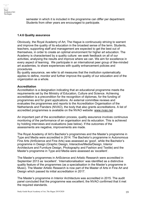semester in which it is included in the programme can differ per department. Students from other years are encouraged to participate.

# **1.4.6 Quality assurance**

Obviously, the Royal Academy of Art, The Hague is continuously striving to warrant and improve the quality of its education in the broadest sense of the term. Students, teachers, supporting staff and management are expected to get the best out of themselves, in order to create an optimal environment for higher art education. The Academy is characterised by a quality culture: we seek feedback on all of our activities, analysing the results and improve where we can. We aim for excellence in every aspect of learning. We participate in an international peer group of like-minded art academies, to share experiences with quality enhancement policies and procedures.

By quality assurance, we refer to all measures that the institution systematically applies to define, monitor and further improve the quality of our education and of the organization as a whole.

# **Accreditation**

Accreditation is a designation indicating that an educational programme meets the requirements set by the Ministry of Education, Culture and Science. Achieving accreditation is a precondition for the recognition of diplomas, for the funding of programmes and for grant applications. An external committee reviews and evaluates the programmes and reports to the Accreditation Organisation of the Netherlands and Flanders (NVAO), the body that also grants accreditations. A list of accredited programmes is available on the NVAO website: www.nvao.net

An important part of the accreditation process, quality assurance involves continuous monitoring of the performance of an organisation and its education. This is achieved by holding interviews and evaluations (see below). If the outcomes of the assessments are negative, improvements are made.

The Royal Academy of Art's Bachelor's programmes and the Master's programme in Type and Media were accredited in 2014. The Bachelor's programme in Autonomous Fine Arts (ArtScience and Fine Arts) was assessed as 'good', while the Bachelor's programme in Design (Graphic Design, Interactive/Media/Design, Interior Architecture and Furniture Design, Photography and Fashion and Textile) and the Master's programme in Type and Media were assessed as 'excellent'.

The Master's programmes in ArtScience and Artistic Research were accredited in September 2013 as 'excellent'. 'Internationalisation' was identified as a distinctive quality feature of the programmes (as a specialisation in the Master's programme in Music). The Master Artistic Research is now part of the Master of Arts in Fine Art and Design which passed its initial accreditation in 2017.

The Master's programme in Interior Architecture was accredited in 2015. The audit panel concluded that the programme was excellent; the NVAO confirmed that it met the required standards.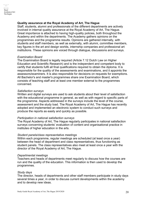## **Quality assurance at the Royal Academy of Art, The Hague**

Staff, students, alumni and professionals of the different departments are actively involved in internal quality assurance at the Royal Academy of Art, The Hague. Great importance is attached to having high-quality policies, both throughout the Academy and within the departments. The Academy gathers opinions on the programmes and the programme results. Opinions are gathered internally, with students and staff members, as well as externally, with alumni, committee members, key figures in the art and design worlds, internship companies and professional art institutions. These opinions are voiced through dialogue, discussions and surveys.

#### *Examination Board*

The Examination Board is legally required (Article 7.12 Dutch Law on Higher Education and Scientific Research) and is the independent and competent body to certify that students fulfil all final qualifications required to obtain the diploma. It is responsible for the quality of the assessments and examinations, and it appoints the assessors/examiners. It is also responsible for decisions on requests for exemptions. All Bachelor's and master's programmes share one Examination Board, which consists of teaching staff and at least one member external to the programmes concerned.

#### *Satisfaction surveys*

Written and digital surveys are used to ask students about their level of satisfaction with the educational programme in general, as well as with regard to specific parts of the programme. Aspects addressed in the surveys include the level of the course, assessment and the study load. The Royal Academy of Art, The Hague has recently adopted and implemented an electronic system to conduct such surveys and produce the reports as easily and quickly as possible.

#### *Participation in national satisfaction surveys*

The Royal Academy of Art, The Hague regularly participates in national satisfaction surveys concerning students' evaluation of content and organisational practice in institutes of higher education in the arts.

#### *Student panels/class representative meetings*

Within each programme, regular meetings are scheduled (at least once a year) between the head of department and class representatives, thus functioning as student panels. The class representatives also meet at least once a year with the director of the Royal Academy of Art, The Hague.

#### *Departmental meetings*

Teachers and heads of departments meet regularly to discuss how the courses are run and the quality of the education. This information is then used to develop the programmes.

#### *Study days*

The director, heads of departments and other staff members participate in study days several times a year, in order to discuss current developments within the academy and to develop new ideas.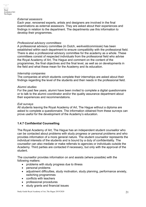#### *External assessors*

Each year, renowned experts, artists and designers are involved in the final examinations as external assessors. They are asked about their experiences and findings in relation to the department. The departments use this information to develop their programmes.

#### *Professional advisory committees*

A professional advisory committee (in Dutch, *werkveldcommissie*) has been established within each department to ensure compatibility with the professional field. There is also a professional advisory committee for the academy as a whole. These committees consist of respected individuals from the professional field who advise the Royal Academy of Art, The Hague and comment on the content of the programmes, the final objectives and the final level, as well as on developments in the field and what these mean for the Academy and its education.

#### *Internship companies*

The companies at which students complete their internships are asked about their findings regarding the level of the students and their needs in the professional field.

#### *Alumni studies*

For the past few years, alumni have been invited to complete a digital questionnaire or to talk to the alumni coordinator and/or the quality assurance department about their experiences and recommendations.

#### *Exit surveys*

All students leaving the Royal Academy of Art, The Hague without a diploma are asked to complete a questionnaire. The information obtained from these surveys can prove useful for the development of the Academy's education.

## **1.4.7 Confidential Counselling**

The Royal Academy of Art, The Hague has an independent student counsellor who can be contacted about problems with study progress or personal problems and who provides information of a more general nature. The student counsellor represents the individual interests of the students and is bound by a duty of confidentiality. The counsellor can also mediate or make referrals to agencies or individuals outside the Academy. Third parties are contacted if necessary, but only with the approval of the student.

The counsellor provides information on and assists (where possible) with the following matters:

- problems with study progress due to illness
- personal problems
- adjustment difficulties, study motivation, study planning, performance anxiety, switching programmes
- conflicts with teachers
- professional procedures
- study grants and financial issues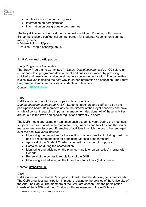- applications for funding and grants
- information on deregistration
- information on postgraduate programmes

The Royal Academy of Art's student counsellor is Mirjam Pol Along with Pauline Schep, he is also a confidential contact person for students. Appointments can be made by email.

+ Mirjam Pol m.pol@kabk.nl

+ Pauline Schep p.schep@kabk.nl

## **1.4.8 Voice and participation**

#### *Study Programme Committee*

The Study Programme Committee (in Dutch, *Opleidingscommissie* or OC) plays an important role in programme development and quality assurance, by providing solicited and unsolicited advice on all matters concerning education. The committee is also involved in finding the best way to gather information on education. The Study Programme Committee consists of students and teachers.

Contact: SPC@kabk.nl.

#### *DMR*

DMR stands for the KABK's participation board (In Dutch,

*Deelmedezeggenschapsraad KABK*). Students, teachers and staff can sit on the participation board. Its members advise the director of the Royal Academy and have a right of consent regarding important management decisions. All of these activities are set out in the laws and special regulations currently in effect.

The DMR meets approximately ten times each academic year. During the meetings, subjects such as education, human resources, finances and facilities and the senior management are discussed. Examples of activities in which the board has engaged over the past two years include:

- Monitoring the procedure for the election of a new director, including making a positive recommendation for appointing Marieke Schoenmakers
- Approval of the Student Charter, along with a number of proposals
- Participation during the accreditation
- Monitoring and advising on the planned (and later on cancelled) merger with **Codarts**
- Renewal of the domestic regulations of the DMR
- Monitoring and advising on the Individual Study Track (IST) courses

#### Contact: dmr@kabk.nl

## *CMR*

CMR stands for the Central Participation Board (Centrale Medezeggenschapsraad). The CMR organises participation in matters relating to the policies of the University of the Arts The Hague. The members of the CMR are chosen from the participation boards of the KABK and the KC, along with one member of the ArtScience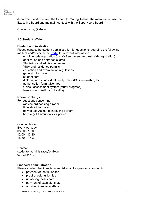> department and one from the School for Young Talent. The members advise the Executive Board and maintain contact with the Supervisory Board.

Contact: cmr@kabk.nl

# **1.5 Student affairs**

## **Student administration**

Please contact the student administration for questions regarding the following matters and/or check the Portal for relevant information.:

- enrolment/deregistration (proof of enrolment, request of deregistration)
- application and entrance exams
- Studielink and admission proces
- VISA and residence permits
- · education and examination regulations
- · general information
- student card
- · diploma forms, Individual Study Track (IST), internship, etc.
- · authorisation form tuition fee
- Osiris / assessment system (study progress)
- · Insurances (health and liabiltiy)

## **Room Bookings**

For questions concerning:

- (advice on) booking a room
- timetable information
- how to use Asimut (scheduling system)
- how to get Asimut on your phone

Opening hours: Every workday  $08.30 - 10.00$ 12.00 - 13.30 15.30 – 16.30

Contact: studentenadministratie@kabk.nl 070 3154770

#### **Financial administration**

Please contact the financial administration for questions concerning:

- payment of the tuition fee
- proof of paid tuition fee
- uploading facility card
- payment of excursions etc.
- all other financial matters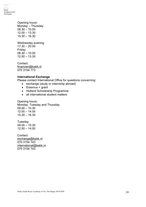$\begin{array}{c} \bullet \quad \bullet \quad \bullet \\ \bullet \quad \bullet \quad \bullet \end{array}$ Royal **Academy of Art<br>The Hague** 

> Opening hours: Monday – Thursday 08.30 – 10.00 12.00 – 13.30 15.30 – 16.30

Wednesday evening 17.30 – 20.00 Friday 08.30 – 10.00 12.00 – 13.30

Contact: financien@kabk.nl 070 3154 773

## **International Exchange**

Please contact International Office for questions concerning:

- exchange (study or internship abroad)
- Erasmus + grant
- Holland Scholarship Programme
- all international student matters

Opening hours: Monday, Tuesday and Thursday 09.00 – 10.30 12.00 – 14.00 15.30 – 16.30

Tuesday 09.00 – 10.30 12.00 – 14.00

Contact: exchange@kabk.nl 070 3154 743 international@kabk.nl 070 3154 743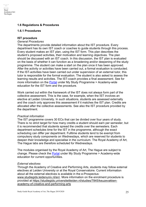# **1.6 Regulations & Procedures**

## **1.6.1 Procedures**

## **IST procedure**

## *General Procedures*

The departments provide detailed information about the IST procedure. Every department has its own IST coach or coaches to guide students through this process. Every student makes an IST plan, using the IST form. This plan describes the student's proposed activities, their motivation and learning objectives. The plan should be discussed with an IST coach. In this discussion, the IST plan is evaluated on the basis of whether it can function as a broadening and/or deepening of the study programme. The student can make a start on the plan once it has been approved. After the activity or activities have been carried out, a formal evaluation is conducted. If the IST-activities have been carried out under supervision of an external tutor, this tutor is responsible for the formal evaluation. The student is also asked to assess the learning results and activities. The IST-coach provides a final assessment. See for more information on the Portal under My Study Programme > Academy-wide education for the IST form and the procedure.

Work carried out within the framework of the IST does not always form part of the collective assessment. This is the case, for example, when the IST involves an elective at Leiden University. In such situations, students are assessed externally and the coach only approves this assessment if it matches the IST plan. Credits are allocated after the collective assessments. See also the IST procedure provided by the department.

#### *Practical information*

The IST programme covers 30 ECs that can be divided over four years of study. There is no strict target for how many credits a student should earn per semester, but it is recommended that students spread the credits over the semesters. Each department schedules time for the IST in the programme, although the exact scheduling can differ per department. Fulltime students tend to be exempt from compulsory study components on Wednesdays, which are reserved for students to deepen their knowledge and specialise in the curriculum. The Royal Academy of Art, The Hague labs are therefore scheduled for Wednesdays.

The modules organised by the Royal Academy of Art, The Hague are subject to change. Please check the Portal under My Study Programme > Academy-wide education for current opportunities.

#### *External electives*

Through the Academy of Creative and Performing Arts, students may follow external electives at Leiden University or at the Royal Conservatoire. Current information about all the external electives is available in the e-Prospectus: www.studiegids.leidenuniv.nl/en/. More information on the enrolment procedure is provided at https://studiegids.universiteitleiden.nl/studies/7845/keuzevakkenacademy-of-creative-and-performing-arts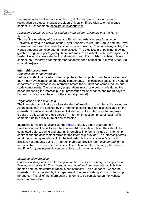Enrolment in an elective course at the Royal Conservatoire does not require registration as a guest student at Leiden University. If you wish to enrol, please contact R. Schneemann: acpa@hum.leidenuniv.nl.

## *Practicum Artium: electives for students from Leiden University and the Royal Academy*

Through the Academy of Creative and Performing Arts, students from Leiden University may take electives at the Royal Academy of Art, The Hague and the Royal Conservatoire. From the current academic year onwards, Royal Academy of Art, The Hague students can also attend these classes. The electives are: painting, drawing, graphic design and photography. More information is available in the e-Prospectus of Leiden University: www.studiegids.leidenuniv.nl/en. If you wish to register, please contact the Academy's coordinator for academic-wide education, Niki van Strien, via n.vanstrien@kabk.nl.

## **Internship procedure**

## *Preconditions for an internship*

Before a student can start an internship, their internship plan must be approved, and they must have completed prior study components. In exceptional cases, the head of department may authorise an internship before the student has completed the prior study components. The necessary preparations must have been made during the period preceding the internship (e.g., preparation for attendance and return days to be held mid-way or at the end of the internship period).

## *Organisation of the internship*

The internship coordinator provides detailed information on the internship procedure. All the steps that are outlined by the internship coordinator are also indicated on the internship forms and constitute essential elements of an internship. No separate credits are allocated for these steps. An internship must comprise at least half a semester, up to a maximum of one semester.

Internship forms are available via the Portal under My study programme > Professional practice skills and the Student Administration office. They should be completed before, during and after an internship. The forms include an internship contract and the assessment forms for the internship provider. The internship forms for students doing an internship in the Netherlands are available in Dutch and English. For students doing an internship abroad, English *internship abroad* forms are available. In cases where it is difficult to obtain an internship (e.g., ArtScience and Fine Arts), an internship can be replaced with other activities.

#### *International internships*

Students wishing to do an internship in another European country can apply for an Erasmus+ scholarship. The minimum duration of an Erasmus+ internship is two months and the maximum duration is one semester. The number of ECs for the internship will be decided by the department. Students wishing to do an internship abroad can find all of the information and forms to be completed on the website, under 'International'.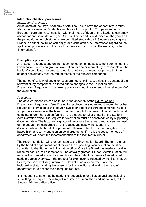#### **Internationalisation procedures**

#### *International exchange*

All students at the Royal Academy of Art, The Hague have the opportunity to study abroad for a semester. Students can choose from a pool of European and non-European partners, in consultation with their head of department. Students can study abroad for one semester and gain 30 ECs. The department decides on the year and the period during which students are permitted study abroad. Students studying at an Erasmus partner institution can apply for a scholarship. All information regarding the application procedure and the list of partners can be found on the website, under 'International'.

## **Exemptions procedure**

At a student's request and on the recommendation of the assessment committee, the Examination Board can grant an exemption for one or more study components on the basis of a certificate, diploma, testimonial or other document that proves that the student has already met the requirements of the relevant component.

The period of validity of any exemption granted is unlimited, unless the content of the relevant study component is altered due to changes to the Education and Examination Regulations. If an exemption is granted, the student will receive proof of the exemption.

#### *Procedure*

The detailed procedure can be found in the appendix of the Education and Examination Regulations (see Exemption protocol). A student must submit his or her request for exemption to the lecturer/invigilator before the third meeting relating to a subject in a semester at the latest. In order to apply for an exemption, students must complete a form that can be found on the student portal or printed at the Student Administration office. The request for exemption must be accompanied by supporting documentation. The lecturer/invigilator will evaluate the request and advise the head of the department concerned on the request and supply the supporting documentation. The head of department will ensure that the lecturer/invigilator has based his/her recommendation on solid arguments. If this is the case, the head of department will adopt the recommendation of the lecturer/invigilator.

The recommendation will then be made to the Examination Board. The form signed by the head of department, together with the supporting documentation, must be submitted to the Student Administration office. Once the Board has made a positive recommendation, the exemption will be officially granted. Student Administration will register the granted exemptions and inform the student by means of an adjusted study progress overview. If the request for exemption is rejected by the Examination Board, the Board will duly inform the relevant head of department and the lecturer/invigilator, stating the reasons for the rejection and asking the head of department to re-assess the exemption request.

It is important to note that the student is responsible for all steps until and including submitting the request, including all required documentation and signatures, to the Student Administration office.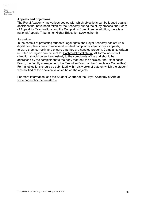ria i Roval Academy of Art The Hague

## **Appeals and objections**

The Royal Academy has various bodies with which objections can be lodged against decisions that have been taken by the Academy during the study process: the Board of Appeal for Examinations and the Complaints Committee. In addition, there is a national Appeals Tribunal for Higher Education (www.cbho.nl).

#### *Procedure*

In the context of protecting students' legal rights, the Royal Academy has set up a digital complaints desk to receive all student complaints, objections or appeals, forward them correctly and ensure that they are handled properly. Complaints written in Dutch or English can be sent to: klachtenloket@kabk.nl. All formal notices of objection should be sent exclusively to the complaints office and should be addressed by the complainant to the body that took the decision (the Examination Board, the faculty management, the Executive Board or the Complaints Committee). Formal objections should be submitted within six weeks of date on which the student was notified of the decision to which he or she objects.

For more information, see the Student Charter of the Royal Academy of Arts at www.hogeschoolderkunsten.nl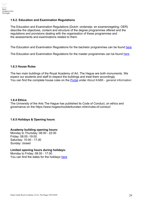# **1.6.2. Education and Examination Regulations**

The Education and Examination Regulations (Dutch: onderwijs- en examenregeling; OER) describe the objectives, content and structure of the degree programmes offered and the regulations and provisions dealing with the organisation of these programmes and the assessments and examinations related to them.

The Education and Examination Regulations for the bachelor programmes can be found here

The Education and Examination Regulations for the master programmes can be found here

## **1.6.3 House Rules**

The two main buildings of the Royal Academy of Art, The Hague are both monuments. We expect our students and staff to respect the buildings and treat them accordingly. You can find the complete house rules on the Portal under About KABK - general information

#### **1.6.4 Ethics**

The University of the Arts The Hague has published its Code of Conduct, on ethics and governance on the https://www.hogeschoolderkunsten.nl/en/rules-of-conduct

## **1.6.5 Holidays & Opening hours**

# **Academy building opening hours:**

Monday to Thursday: 08.00 - 22.00 Friday: 08.00 -19.00 Saturday: 10.00 - 17.00 Sunday: closed

## **Limited opening hours during holidays:**

Monday to Friday: 08.00 - 17.00 You can find the dates for the holidays here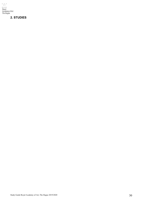$\begin{array}{cc} \bullet & \bullet & \bullet \\ \bullet & \bullet & \end{array}$ Royal<br>Academy of Art<br>The Hague

**2. STUDIES**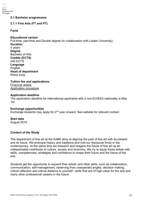## **2.1 Bachelor programmes**

# **2.1.1 Fine Arts (FT and PT)**

## **Facts**

## **Educational variant**

Full-time, part-time and Double degree (in collaboration with Leiden University) **Duration** 4 years **Degree** Bachelor of Arts **Credits (ECTS)** 240 ECTS **Language** English **Head of department** Klaus Jung

**Tuition fee and applications** Financial details Application procedure

#### **Application deadline**

The application deadline for international applicants with a non-EU/EEA nationality is May 1st.

**Exchange opportunities** Exchange students may apply for  $2<sup>nd</sup>$  year onward. See website for relevant contact

**Start date** August 2019

## **Content of the Study**

The department of fine art at the KABK aims at aligning the past of fine art with its present and its future. We embrace history and traditions and root our discourse firmly in the contemporary. At the same time we research and imagine the future of fine art as an indispensable contributor to culture, society and economy. We try to equip future artists with skills, competencies, strategies and confidence to shape their future and the future of the arts.

Students get the opportunity to expand their artistic and other skills, such as collaboration, communication, self-management, observing from unexpected angles, decision making, critical reflection and critical distance to yourself - skills that are of high value for the arts and many other professional careers in the future.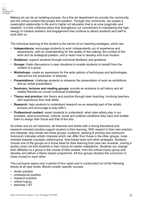Making art can be an isolating process. As a fine art department we provide the community and the critical context that breaks this isolation. Through this community, we sustain a meaningful relationship to life and to higher art education that is at once pragmatic and idealistic. It is this collective ethos that strengthens our commitment to maintaining the highenergy of creative ambition and engagement that continue to attract students and staff to work with us.

The individual learning of the student is the kernel of our teaching strategies, which are

- **Independence:** encourage students to work independently out of experience and experiments, with an understanding for the quality of the making, the context of the work and its strategical position, and to learn how to develop and trust intuition
- **Guidance:** support students through individual feedback and guidance
- **Groups:** foster discussions in peer situations to enable students to benefit from the context of a group
- **Workshops:** create an awareness for the wide options of techniques and technologies, relevant for the production of artworks
- **Presentations:** challenge students to rehearse the presentation of work as exhibitions and as verbal presentation
- **Seminars, lectures and reading groups:** provide an entrance to art history and art related theories as crucial contextual knowledge
- **Theory and practice:** link theory and practice through team teaching, involving teachers with experience from both fields
- **Research:** help students to understand research as an essential part of the artistic process and encourage to play with it
- **Professional context:** assist students to understand, what roles artists play in our societies, what economical, cultural, social and political conditions they have and enable them to design their future and that of the arts

40 artists and six art historians, art theorists and artists with a strong theoretical and research-oriented practice support student in their learning. With respect to their own practice and interests, they divide into three groups: sculpture, painting & printing and autonoom. Autonoom indicates artistic interests which can differ from those in the other groups, more oriented towards concepts, performance, time-based work and other strategies. Students choose one of the groups as a home base for their learning from year two onwards. Joining a section does not limit students in their choice for artistic realisations. Students can change their affiliation to a group in the course of their studies. form the critical inquiry group and develop and deliver a theory based programme. All four groups develop the curriculum in close contact to each other.

The curriculum spans over a period of four years and is constructed out of the following blocks at all year levels. Blocks contain specific courses.

- studio practice
- professional practice
- research practice
- critical inquiry
- electives / IST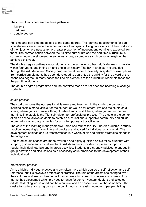The curriculum is delivered in three pathways:

- full time
- part time
- double degree

Full time and part time mode lead to the same degree. The learning appointments for part time students are arranged to accommodate their specific living conditions and the conditions of their jobs, where necessary. A greater proportion of independent learning is expected from them. The harmonisation between the full-time curriculum and the part time curriculum is currently under development. In some instances, a complete synchronisation might nit be achieved this year.

The double degree pathway leads students to the achieve two bachelor's degrees in parallel within four years, one in fine art and one in art history. The BA in art history is provided through the Art, Media and Society programme at Leiden University. A system of exemptions from curriculum elements has been developed to guarantee the validity for the award of the bachelor's degree. In many cases the fine art elements of the curriculum resemble those for the part time students.

The double degree programme and the part time mode are not open for incoming exchange students.

#### studio practice

The studio remains the nucleus for all learning and teaching. In the studio the process of learning itself is made visible, for the student as well as for others. We see the studio as a space, where you can leave a thought behind and it is still there, when you return the next morning. The studio is the 'flight simulator' for professional practice. The studio in the context of an art school allows students to establish a critical and supportive community and builds future networks and opportunities for a contemporary art practitioner.

The core of the learning in the years two, three and four of the BA-Fine Art curricula is studio practice. Increasingly more time and credits are allocated for individual artistic work. The development of ideas and its transformation into works of art and artistic strategies stands in the foreground.

Dedicated studio spaces are made available and highly qualified artists follow students with support, guidance and critical feedback. Artist-teachers provide critique and support in regular individual tutorials and in group activities. Students are strongly advised to engage in group activities and discussions as a necessary counterbalance to the development of their individual work.

#### professional practice

Art is a highly individual practice and can often have a high degree of self reflection and self reference: but it is always a professional practice. The role of the artists has changed over the centuries and keeps changing with an accelerating speed in contemporary times. An art market has blossomed which provides fortunes for some investors, dealers and selected artists. Collecting works of art can be a cultural and an economic act at the same time. The desire for culture and art grows as the continuously increasing number of people visiting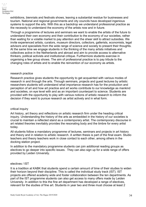exhibitions, biennials and festivals shows, leaving a substantial residue for businesses and tourism. National and regional governments and city councils have developed ingenious systems to support the arts. With this as a backdrop we understand professional practice as the necessity to understand the economy of the artists now and in future.

Through a programme of lectures and seminars we want to enable the artists of the future to understand their own economy and their contribution to the economy of our societies, rather than waiting for a volatile market to pay attention and the sheer skill to attract subsidies. We invite experienced artists, curators, museum directors, collectors, gallerists, economists, legal advisors and specialists from the wide range of science and society to present their thoughts. At the same time we engage students in the thinking of the many artists initiatives and collectives active in the Netherlands and abroad and aim to provide access to alternative thinkers, political activists and institutional critique. Furthermore students exercise in organising a few group shows. The aim of professional practice is to pay tribute to the changing roles of artists and to enable the reinvention of our economy as artists.

## research practice

Research practice gives students the opportunity to get acquainted with various modes of research in and through the arts. Through seminars, projects and guest lectures by artistic researchers students will understand what importance research has for the production and perception of art and how art practice and art works contribute to our knowledge as mankind and societies, on eye level with and as an important counterpart to science. Students are provided with the opportunity to play with various notions of artistic research to inform the decision if they want to pursue research as artist actively and in what form.

## critical inquiry

Art history, art theory and reflections on artistic research firm under the heading critical inquiry. Understanding the history of the arts as embedded in the history of our societies is crucial to maintain a reflected stand as a contemporary artist. The contemporary discourse in art related theories inevitably provides the resonating body and the timbre for every artist today.

All students follow a mandatory programme of lectures, seminars and projects in art history and theory and in relation to artistic research. A written thesis is part of the final exam. Studio teachers and theory teachers work in close contact to each other, among others in the docking station project.

In addition to the mandatory programme students can join additional reading groups as electives to go deeper into specific issues. They can also sign up for a wide range of offers provided by Leiden University.

#### electives / IST

It is a tradition at KABK that students spend a certain amount of time of their studies to widen their horizon beyond their discipline. This is called the individual study track (IST). IST projects are offered academy wide and foster collaboration between the ten departments. As part of the IST programme students can also get access to many offers made by Leiden University. In addition to this the fine art department has developed a range of electives, relevant for the studies of fine art. Students in year two and three must choose at least 2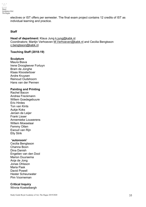$\begin{array}{c} \bullet \quad \bullet \quad \bullet \\ \bullet \quad \bullet \end{array}$ Royal Academy of Art The Hague

> electives or IST offers per semester. The final exam project contains 12 credits of IST as individual learning and practice.

## **Staff**

**Head of department:** Klaus Jung k.jung@kabk.nl Coordinators: Martijn Verhoeven M.Verhoeven@kabk.nl and Cecilia Bengtsson c.bengtsson@kabk.nl

## **Teaching Staff (2018-19)**

## **Sculpture**

Maura Biava Irene Droogleever Fortuyn Bram de Jonghe Klaas Kloosterboer Andre Kruysen Reinoud Oudshoorn Hans van der Pennen

## **Painting and Printing**

Rachel Bacon Andrea Freckmann Willem Goedegebuure Eric Hirdes Ton van Kints Aukje Koks Jeroen de Leijer Frank Lisser Annemieke Louwerens Willem Moeselaar Femmy Otten Ewoud van Rijn Elly Strik

#### **'autonoom'**

Cecilia Bengtsson Channa Boon Dina Danish Engelien van den Dool Marion Duursema Anja de Jong Jonas Ohlsson Maria Pask David Powell Hester Scheurwater Pim Voorneman

## **Critical Inquiry**

Winnie Koekelbergh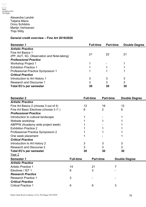Alexandra Landré Tatjana Macic Onno Schilstra Martijn Verhoeven Thijs Witty

# **General credit overview – Fine Art 2019/2020**

| <b>Semester 1</b>                                               | <b>Full-time</b> | <b>Part-time</b> | Double Degree |
|-----------------------------------------------------------------|------------------|------------------|---------------|
| <b>Artistic Practice</b>                                        |                  |                  |               |
| Fine Art Basics 1<br>(PP, AUT, SC, Observation and Note-taking) | 21               | 22               | 21            |
| <b>Professional Practice</b>                                    |                  |                  |               |
| <b>Workshop Project 1</b>                                       |                  |                  |               |
| <b>Exhibition Practice 1</b>                                    |                  |                  |               |
| Professional Practice Symposium 1                               |                  |                  |               |
| <b>Critical Practice</b>                                        |                  |                  |               |
| Introduction to Art History 1                                   | 3                | 3                | 3             |
| <b>Research and Discourse 1</b>                                 | 3                | 3                | 3             |
| <b>Total EC's per semester</b>                                  | 30               | 30               | 30            |

| <b>Semester 2</b>                     |                  | <b>Full-time</b> |                  | <b>Part-time</b> |   | <b>Double Degree</b> |
|---------------------------------------|------------------|------------------|------------------|------------------|---|----------------------|
| <b>Artistic Practice</b>              |                  |                  |                  |                  |   |                      |
| Fine Art Basics 2 (choose 3 out of 4) |                  | 12               |                  | 19               |   | 12                   |
| Fine Art Basic Electives (choose 3/1) |                  | 6                |                  | $\overline{2}$   |   | 6                    |
| <b>Professional Practice</b>          |                  |                  |                  |                  |   |                      |
| Introduction to cultural landscape    |                  |                  |                  |                  |   |                      |
| Website workshop                      |                  |                  |                  |                  |   |                      |
| ABPPW (Academy wide project week)     |                  |                  |                  |                  |   |                      |
| <b>Exhibition Practice 2</b>          |                  |                  |                  |                  |   |                      |
| Professional Practice Symposium 2     |                  |                  |                  |                  |   |                      |
| One week placement                    |                  |                  |                  |                  |   |                      |
| <b>Critical Practice</b>              |                  |                  |                  |                  |   |                      |
| Introduction to Art history 2         |                  | 3                |                  | 3                |   | 3                    |
| <b>Research and Discourse 2</b>       |                  | 3                |                  | 3                |   | 3                    |
| <b>Total EC's per semester</b>        |                  | 30               |                  | 30               |   | 30                   |
| Year 2                                |                  |                  |                  |                  |   |                      |
| <b>Semester 1</b>                     | <b>Full-time</b> |                  | <b>Part-time</b> |                  |   | <b>Double Degree</b> |
| <b>Artistic Practice</b>              |                  |                  |                  |                  |   |                      |
| <b>Artistic Practice 1</b>            | 14               |                  | 21               |                  | 7 |                      |
| Electives / IST 1                     | 6                |                  | 3                |                  |   |                      |
| <b>Research Practice</b>              |                  |                  |                  |                  |   |                      |
| <b>Research Practice 1</b>            | 3                |                  |                  |                  |   |                      |
| <b>Critical Practice</b>              |                  |                  |                  |                  |   |                      |
| <b>Critical Practice 1</b>            | 6                |                  | 6                |                  | 3 |                      |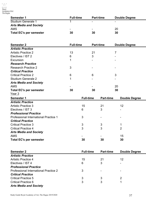| <b>Semester 1</b>              | <b>Full-time</b> | <b>Part-time</b>         | Double Degree            |
|--------------------------------|------------------|--------------------------|--------------------------|
| <b>Studium Generale 1</b>      |                  | $\overline{\phantom{0}}$ | $\overline{\phantom{a}}$ |
| <b>Arts Media and Society</b>  |                  |                          |                          |
| <b>AMS</b>                     | -                | $\overline{\phantom{0}}$ | 20                       |
| <b>Total EC's per semester</b> | 30               | 30                       | 30                       |

| <b>Semester 2</b>                            | <b>Full-time</b> |                  | <b>Part-time</b> |                  |                | <b>Double Degree</b> |
|----------------------------------------------|------------------|------------------|------------------|------------------|----------------|----------------------|
| <b>Artistic Practice</b>                     |                  |                  |                  |                  |                |                      |
| <b>Artistic Practice 2</b>                   | 13               |                  | 21               |                  | $\overline{7}$ |                      |
| Electives / IST 2                            | 6                |                  | 3                |                  |                |                      |
| Excursion                                    | 1                |                  |                  |                  |                |                      |
| <b>Research Practice</b>                     |                  |                  |                  |                  |                |                      |
| <b>Research Practice 2</b>                   | 3                |                  |                  |                  |                |                      |
| <b>Critical Practice</b>                     |                  |                  |                  |                  |                |                      |
| <b>Critical Practice 2</b>                   | 6                |                  | 6                |                  | 3              |                      |
| <b>Studium Generale 2</b>                    | 1                |                  |                  |                  |                |                      |
| <b>Arts Media and Society</b>                |                  |                  |                  |                  |                |                      |
| <b>AMS</b>                                   |                  |                  |                  |                  | 20             |                      |
| <b>Total EC's per semester</b>               | 30               |                  | 30               |                  | 30             |                      |
| <u>Year 3</u>                                |                  |                  |                  |                  |                |                      |
| <b>Semester 1</b>                            |                  | <b>Full-time</b> |                  | <b>Part-time</b> |                | <b>Double Degree</b> |
| <b>Artistic Practice</b>                     |                  |                  |                  |                  |                |                      |
| <b>Artistic Practice 3</b>                   |                  | 15               |                  | 21               |                | 12                   |
| Electives / IST 3                            |                  | 6                |                  | 3                |                |                      |
| <b>Professional Practice</b>                 |                  |                  |                  |                  |                |                      |
| <b>Professional International Practice 1</b> |                  | 3                |                  |                  |                |                      |
| <b>Critical Practice</b>                     |                  |                  |                  |                  |                |                      |
| <b>Critical Practice 3</b>                   |                  | 3                |                  | 3                |                | 1                    |
| <b>Critical Practice 4</b>                   |                  | 3                |                  | 3                |                | $\overline{2}$       |
| <b>Arts Media and Society</b>                |                  |                  |                  |                  |                |                      |
| <b>AMS</b>                                   |                  |                  |                  |                  |                | 15                   |
| <b>Total EC's per semester</b>               |                  | 30               |                  | 30               |                | 30                   |

| <b>Semester 2</b>                     | <b>Full-time</b> | <b>Part-time</b> | <b>Double Degree</b> |
|---------------------------------------|------------------|------------------|----------------------|
| <b>Artistic Practice</b>              |                  |                  |                      |
| <b>Artistic Practice 4</b>            | 15               | 21               | 12                   |
| Electives / IST 4                     | 6                | 3                |                      |
| <b>Professional Practice</b>          |                  |                  |                      |
| Professional International Practice 2 | 3                |                  |                      |
| <b>Critical Practice</b>              |                  |                  |                      |
| <b>Critical Practice 5</b>            | 3                | 3                | 2                    |
| <b>Critical Practice 6</b>            | 3                | 3                |                      |
| <b>Arts Media and Society</b>         |                  |                  |                      |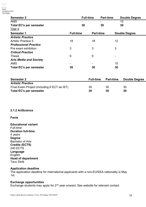Royal<br>Academy of Art<br>The Hague

 $\begin{array}{cc} \bullet & \bullet & \bullet \\ \bullet & \bullet \end{array}$ 

| <b>Semester 2</b>              | <b>Full-time</b> | <b>Part-time</b> | <b>Double Degree</b> |
|--------------------------------|------------------|------------------|----------------------|
| <b>AMS</b>                     |                  | -                | 15                   |
| <b>Total EC's per semester</b> | 30               | 30               | 30                   |
| Year 4                         |                  |                  |                      |
| <b>Semester 1</b>              | <b>Full-time</b> | <b>Part-time</b> | <b>Double Degree</b> |
| <b>Artistic Practice</b>       |                  |                  |                      |
| <b>Artistic Practice 5</b>     | 18               | 18               | 12                   |
| <b>Professional Practice</b>   |                  |                  |                      |
| Pre exam exhibition            | 3                | 3                | 3                    |
| <b>Critical Practice</b>       |                  |                  |                      |
| <b>Thesis</b>                  | 9                | 9                |                      |
| <b>Arts Media and Society</b>  |                  |                  |                      |
| <b>AMS</b>                     | ۰                |                  | 15                   |
| <b>Total EC's per semester</b> | 30               | 30               | 30                   |

| <b>Semester 2</b>                           | <b>Full-time</b> | <b>Part-time</b> | <b>Double Degree</b> |
|---------------------------------------------|------------------|------------------|----------------------|
| <b>Artistic Practice</b>                    |                  |                  |                      |
| Final Exam Project (including 6 ECT as IST) | 30               | 30               | 30                   |
| <b>Total EC's per semester</b>              | 30               | 30               | 30                   |

# **2.1.2 ArtScience**

### **Facts**

**Educational variant** Full-time **Duration full-time** 4 years **Degree** Bachelor of Arts **Credits (ECTS)** 240 ECTS **Language** English **Head of department** Taco Stolk

### **Application deadline**

The application deadline for international applicants with a non-EU/EEA nationality is May 1st.

#### **Exchange opportunities**

Exchange students may apply for  $2<sup>nd</sup>$  year onward. See website for relevant contact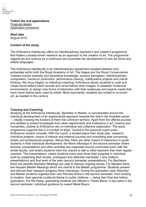n an a Roval **Academy of Art The Hague** 

> **Tuition fee and applications** Financial details Application procedure

**Start date** August 2019

### **Content of the study**

The ArtScience Interfaculty offers an interdisciplinary bachelor's and master's programme that fosters curiosity-driven research as an approach to the creation of art. The programme regards art and science as a continuum and promotes the development of new art forms and artistic languages.

The ArtScience Interfaculty is an interdisciplinary department situated between and embedded within both the Royal Academy of Art, The Hague and the Royal Conservatoire. Classes include scientific and theoretical knowledge, sensory perception, interdisciplinary composition, hands-on production, performance training, collaborative projects and critical thinking. We focus largely on individual coaching. ArtScience allows students to code and create never-before heard sounds and never-before seen images, to establish immersive environments, to design new forms of interaction with their audiences and explore media that have never before been used by artists. Most importantly, students are invited to re-invent art, as needed in this century.

#### **Tutoring and Coaching**

Studying at the ArtScience Interfaculty, Bachelor or Master, is concentrated around the individual development of an experimental approach towards the arts in the broadest sense — ideally crossing the borders of them into unknown territory. Apart from the offered courses and abilities to extend knowlegde from other departments and institutions in art, science and humanities, studies at ArtScience rely on individual and collective exploration. The study programme supports this in a number of ways. Central is the personal coach every ArtScience student consults. With the coach, a student plans their study plan, research, individual projects, choice of internal and external courses and everything else concerning artistic and professional progress. Above that, there are other means of interaction to guide students in their individual development: the Manic Mondays in the second semester where lectures, presentations and other activities are organised around communal lunch with the whole faculty, and where students have the chance to talk to other teachers than their regular coaches. The presentations, where students every year show their progress in individual work by presenting their etudes, prototypes and sketches (semester 1 and midterm presentations) and final work of the year (second semester presentations). For Bachelors there are periodic Bachelor Meetings per year to discuss ongoing issues. For Masters there are frequent Master Meetings which are central to the Master programme. Students present and discuss their research progress there intensively. During the graduation year, Bachelor and Master students organise their own Preview Show in the second semester, from funding to location, from general curational theme to public relations — being their final test before graduation. For the thesis, graduating students are offered a 'Thesis Boost' in two parts in the second semester: individual guidance by expert Merel Boers.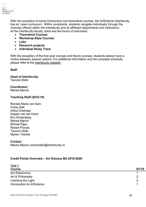With the exception of some introductory and theoretical courses, the ArtScience Interfaculty has an 'open curriculum'. Within constraints, students navigate individually through the modules offered within the Interfaculty and its affiliated departments and institutions. At the Interfaculty faculty, there are five forms of instruction:

- **Theoretical Courses**
- **Workshop-Style Courses**
- **Labs**
- **Research projects**
- **Individual Study Track**

With the exception of the first-year courses and theory courses, students always have a choice between several options. For additional information and the complete schedule, please refer to the Interfaculty website.

# **Staff**

# **Head of Interfaculty:**

Taconis Stolk

# **Coordinator:**

Marisa Manck

# **Teaching Staff (2018-19)**

Renske Maria van Dam Cocky Eek Arthur Elsenaar Kasper van der Horst Eric Kluitenberg Marisa Manck Michiel Pijpe Robert Pravda Taconis Stolk Marion Tränkle

# **Contact**

Marisa Manck coordinator@interfaculty.nl

# **Credit Points Overview – Art Science BA 2019-2020**

| Year 1                     |             |
|----------------------------|-------------|
| <b>Course</b>              | <b>ECTS</b> |
| Ars Electronica            |             |
| Art & Philosophy           |             |
| Catching the Light         | C           |
| Introduction to ArtScience |             |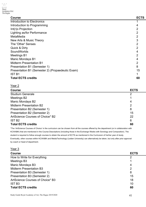$\begin{array}{cc} \bullet & \bullet & \bullet \\ \bullet & \bullet & \end{array}$ Royal<br>Academy of Art<br>The Hague

| <b>Course</b>                                    | <b>ECTS</b> |
|--------------------------------------------------|-------------|
| <b>Introduction to Electronics</b>               |             |
| Introduction to Programming                      | 4           |
| Int(r)o Projection                               | 2           |
| Lighting as/for Performance                      | 2           |
| MetaMedia                                        | 2           |
| New Arts & Music Theory                          | 3           |
| The 'Other' Senses                               | 2           |
| Quick & Dirty                                    | 2           |
| <b>SoundWorlds</b>                               | 4           |
| Meetings B1                                      | 2           |
| <b>Manic Mondays B1</b>                          | 4           |
| <b>Midterm Presentation B1</b>                   | 2           |
| Presentation B1 (Semester 1)                     | 8           |
| Presentation B1 (Semester 2) (Propaedeutic Exam) | 15          |
| <b>IST B1</b>                                    |             |
| <b>Total ECTS credits</b>                        | 60          |

## Year<sub>2</sub>

| <b>Course</b>                                                                                                                                | <b>ECTS</b> |
|----------------------------------------------------------------------------------------------------------------------------------------------|-------------|
| <b>Studium Generale</b>                                                                                                                      |             |
| Meetings B2                                                                                                                                  |             |
| Manic Mondays B2                                                                                                                             | 4           |
| <b>Midterm Presentation B2</b>                                                                                                               | 2           |
| Presentation B2 (Semester 1)                                                                                                                 | 8           |
| Presentation B2 (Semester 2)                                                                                                                 | 15          |
| ArtScience Courses of Choice* B2                                                                                                             | 22          |
| IST B <sub>2</sub>                                                                                                                           | 6           |
| <b>Total ECTS credits</b>                                                                                                                    | 60          |
| *The 'ArtScience Courses of Choice' in the curriculum can be chosen from all the courses offered by the department (or in collaboration with |             |

\*The 'ArtScience Courses of Choice' in the curriculum can be chosen from all the courses offered by the department (or in collaboration with KC/KABK) that are mentioned in the Course Descriptions (including those in the Exchange Weeks with Sonology and Composition). The student is required to follow enough courses to obtain the amount of ECTS as mentioned in the Curriculum of his/her year of study. Eventually, other courses within KC/KABK and MediaTechnology (Leiden University) can alternatively be taken, but only after prior approval by coach or head of department.

# Year 3

| rear 3                           |             |
|----------------------------------|-------------|
| <b>Course</b>                    | <b>ECTS</b> |
| How to Write for Everything      | 2           |
| Meetings B3                      |             |
| Manic Mondays B3                 | 4           |
| <b>Midterm Presentation B3</b>   | 2           |
| Presentation B3 (Semester 1)     | 8           |
| Presentation B3 (Semester 2)     | 15          |
| ArtScience Courses of Choice* B3 | 18          |
| <b>IST B3</b>                    | 10          |
| <b>Total ECTS credits</b>        | 60          |
|                                  |             |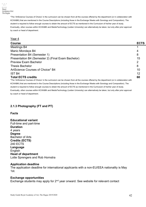$\begin{array}{c} \bullet \quad \bullet \quad \bullet \\ \bullet \quad \bullet \quad \bullet \end{array}$ Royal **Academy of Art** The Hague

> \*The 'ArtScience Courses of Choice' in the curriculum can be chosen from all the courses offered by the department (or in collaboration with KC/KABK) that are mentioned in the Course Descriptions (including those in the Exchange Weeks with Sonology and Composition). The student is required to follow enough courses to obtain the amount of ECTS as mentioned in the Curriculum of his/her year of study. Eventually, other courses within KC/KABK and MediaTechnology (Leiden University) can alternatively be taken, but only after prior approval by coach or head of department.

#### Year 4

| <b>Course</b>                                                                                                                                | <b>ECTS</b> |
|----------------------------------------------------------------------------------------------------------------------------------------------|-------------|
| Meetings B4                                                                                                                                  |             |
| Manic Mondays B4                                                                                                                             | 4           |
| Presentation B4 (Semester 1)                                                                                                                 | 8           |
| Presentation B4 (Semester 2) (Final Exam Bachelor)                                                                                           | 15          |
| <b>Preview Exam Bachelor</b>                                                                                                                 |             |
| <b>Thesis Bachelor</b>                                                                                                                       | 8           |
| ArtScience Courses of Choice* B4                                                                                                             | 10          |
| <b>IST B4</b>                                                                                                                                | 12          |
| <b>Total ECTS credits</b>                                                                                                                    | 60          |
| *The 'ArtScience Courses of Choice' in the curriculum can be chosen from all the courses offered by the department (or in collaboration with |             |

KC/KABK) that are mentioned in the Course Descriptions (including those in the Exchange Weeks with Sonology and Composition). The student is required to follow enough courses to obtain the amount of ECTS as mentioned in the Curriculum of his/her year of study. Eventually, other courses within KC/KABK and MediaTechnology (Leiden University) can alternatively be taken, but only after prior approval by coach or head of department.

# **2.1.3 Photography (FT and PT)**

#### **Facts**

**Educational variant** Full-time and part-time **Duration**  4 years **Degree** Bachelor of Arts **Credits (ECTS)** 240 ECTS **Language** English **Head of department** Lotte Sprengers and Rob Hornstra

#### **Application deadline**

The application deadline for international applicants with a non-EU/EEA nationality is May 1st.

#### **Exchange opportunities**

Exchange students may apply for  $2<sup>nd</sup>$  year onward. See website for relevant contact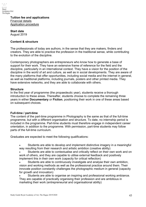**Tuition fee and applications** Financial details Application procedure

**Start date** August 2019

# **Content & structure**

The professionals of today are authors, in the sense that they are makers, finders and creators. They are able to practice the profession in the traditional sense, while contributing to the evolution of the discipline.

Contemporary photographers are entrepreneurs who know how to generate a base of support for their work. They have an extensive frame of reference for the field and the discipline, particularly in an international context. They have a vision for the position of the discipline in the world of art and culture, as well as in social developments. They are aware of the many platforms that offer opportunities, including social media and the internet in general, as well as traditional platforms, including journals, posters and other printed media. They have extensive networks, and they are able to collaborate with others.

### **Structure**

In the first year of programme (the propaedeutic year), students receive a thorough introduction to these areas. Thereafter, students choose to complete the remaining three years in either **Documentary** or **Fiction**, positioning their work in one of these areas based on subsequent choices.

#### **Full-time / part-time**

The content of the part-time programme in Photography is the same as that of the full-time programme, but with a different organisation and structure. To date, no internship period is included in the programme. Part-time students must therefore engage in independent career orientation, in addition to the programme. With permission, part-time students may follow parts of the full-time curriculum.

Graduates are expected to meet the following qualifications:

- Students are able to develop and implement distinctive imagery in a meaningful way resulting from their research and artistic ambition (creative ability)
- Students are able to contextualise and critically reflect on their own work and on work of others, and they are capable to utilise external feedback and positively implement this in their own work (capacity for critical reflection)
- Students are able to continuously investigate and analyse their own ambition, vision and working methods as well as the professional practice around them. Their innovate position constantly challenges the photographic medium in general (capacity for growth and innovation)
- Students are able to organise an inspiring and professional working ambiance. They are capable of practically organising their profession and are ambitious in marketing their work (entrepreneurial and organisational ability)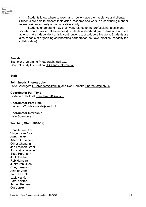Students know where to reach and how engage their audience and clients. Students are able to present their vision, research and work in a convincing manner, as well written as orally (communicative ability)

• Students understand how their work relates to the professional artistic and societal context (external awareness) Students understand group dynamics and are able to make independent artistic contributions to a collaborative work. Students are also capable of organising collaborating partners for their own practice (capacity for collaboration).

**See also:** Bachelor programme Photography (full text) General Study Information: 1.4 Study Information

# **Staff**

**Joint heads Photography** Lotte Sprengers L.Sprengers@kabk.nl and Rob Hornstra r.hornstra@kabk.nl

**Coordinator Full-Time** Linda van der Poel l.vanderpoel@kabk.nl

**Coordinator Part-Time** Raimond Wouda r.wouda@kabk.nl

**Coordinator Internship** Lotte Sprengers

**Teaching Staff (2018-19)**

Daniëlle van Ark Vincent van Baar Arno Bosma Adam Broomberg Oliver Chanarin Jan Frederik Groot Johan Gustavsson Eddo Hartmann Juul Hondius Rob Hornstra Judith van IJken Cuny Janssen Anja de Jong Ton van Kints Iztok Klančar Sara Kolster Jeroen Kummer Ola Lanko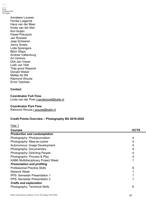$\begin{array}{cc} \bullet & \bullet & \bullet \\ \bullet & \bullet \end{array}$ Royal<br>Academy of Art The Hague

> Annaleen Louwes Femke Lutgerink Hans van der Meer Krista van der Niet Kim Nuijen Pawel Pokutycki Jan Rosseel Jaap Scheeren Jenny Smets Lotte Sprengers Björn Staps Andrew Valkenburg Ari Versluis Dirk-Jan Visser Loek van Vliet Thijs groot Wassink Donald Weber Mattijs de Wit Raimond Wouda Ernst Yperlaan

# **Contact**

**Coordinator Full-Time** Linda van der Poel *I.vanderpoel@kabk.nl* 

# **Coordinator Part-Time**

Raimond Wouda r.wouda@kabk.nl

# **Credit Points Overview – Photography BA 2019-2020**

Year 1

| <b>Courses</b>                             | <b>ECTS</b> |
|--------------------------------------------|-------------|
| <b>Production and contemplation</b>        |             |
| Photography: Photojournalism               | 4           |
| Photography: Mise-en-scène                 | 4           |
| Autonomous: Image Development              | 4           |
| Photography: Documentary                   |             |
| <b>Photography: Directing People</b>       | 4           |
| Photography: Process & Play                |             |
| <b>KABK Multidisciplinary Project Week</b> |             |
| <b>Presentation and profiling</b>          |             |
| <b>Professional Practice Skills</b>        | 6           |
| <b>Network Week</b>                        |             |
| <b>PPS: Semester Presentation 1</b>        |             |
| <b>PPS: Semester Presentation 2</b>        |             |
| <b>Crafts and exploration</b>              |             |
| Photography: Technical Skills              | 6           |
|                                            |             |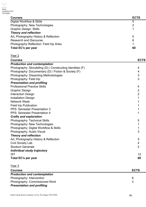$\begin{array}{cc} \bullet & \bullet & \bullet \\ \bullet & \bullet & \end{array}$  $\leftarrow$ Royal<br>Academy of Art<br>The Hague

| <b>Courses</b>                                              | <b>ECTS</b>    |
|-------------------------------------------------------------|----------------|
| Digital Workflow & Skills                                   | 5              |
| Photography: New Technologies                               | $\overline{2}$ |
| <b>Graphic Design: Skills</b>                               | 1              |
| <b>Theory and reflection</b>                                |                |
| Art, Photography History & Reflection                       | 5              |
| <b>Research and Discourse</b>                               | 6              |
| Photography Reflection: Field trip Arles                    | 1              |
| <b>Total EC's per year</b>                                  | 60             |
| Year 2                                                      |                |
| <b>Courses</b>                                              | <b>ECTS</b>    |
| <b>Production and contemplation</b>                         |                |
| Photography: Storytelling (D) / Constructing Identities (F) | 4              |
| Photography: Documentary (D) / Fiction & Society (F)        | 4              |
| Photography: Dissecting Methodologies                       | 3              |
| Photography: Field trip                                     | 3              |
| <b>Presentation and profiling</b>                           |                |
| <b>Professional Practice Skills</b>                         | 4              |
| <b>Graphic Design</b>                                       | $\overline{2}$ |
| <b>Interaction Design</b>                                   | $\overline{2}$ |
| <b>Installation Design</b>                                  | 1              |
| <b>Network Week</b>                                         |                |
| <b>Field trip Publication</b>                               |                |
| <b>PPS: Semester Presentation 3</b>                         |                |
| <b>PPS: Semester Presentation 4</b>                         |                |
| <b>Crafts and exploration</b>                               |                |
| <b>Photography: Technical Skills</b>                        | 5              |
| Photography: New Technologies                               |                |
| Photography: Digital Workflow & Skills                      |                |
| Photography: Audio Visual                                   | 3              |
| <b>Theory and reflection</b>                                |                |
| Art, Photography History & Reflection                       | 5              |
| <b>Civil Society Lab</b>                                    | 4              |
| <b>Studium Generale</b>                                     | $\overline{2}$ |
| Individual study trajectory                                 |                |
| <b>IST</b>                                                  | 12             |
| <b>Total EC's per year</b>                                  | 60             |
| Year 3                                                      |                |
| <b>Courses</b>                                              | <b>ECTS</b>    |
| <b>Production and contemplation</b>                         |                |

Photography: Intervention 8 Photography: Commissioned Work 3 *Presentation and profiling*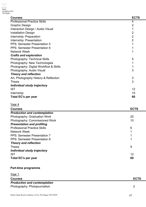$\begin{array}{cc} * & * \\ * & * \end{array}$ Royal<br>Academy of Art<br>The Hague

| <b>Courses</b>                         | <b>ECTS</b>    |
|----------------------------------------|----------------|
| <b>Professional Practice Skills</b>    | 4              |
| <b>Graphic Design</b>                  | $\overline{2}$ |
| Interaction Design / Audio Visual      |                |
| <b>Installation Design</b>             | 2              |
| Internship: Preparation                | 2              |
| Internship: Presentation               | $\overline{2}$ |
| PPS: Semester Presentation 5           | 1              |
| PPS: Semester Presentation 6           |                |
| <b>Network Week</b>                    |                |
| <b>Crafts and exploration</b>          |                |
| <b>Photography: Technical Skills</b>   | 5              |
| Photography: New Technologies          |                |
| Photography: Digital Workflow & Skills | 1              |
| Photography: Audio Visual              | 3              |
| <b>Theory and reflection</b>           |                |
| Art, Photography History & Reflection  | 3              |
| <b>Thesis</b>                          | 3              |
| Individual study trajectory            |                |
| <b>IST</b>                             | 12             |
| Internship                             | 15             |
| <b>Total EC's per year</b>             | 60             |
|                                        |                |

# Year 4

| <b>Courses</b>                      | <b>ECTS</b> |
|-------------------------------------|-------------|
| <b>Production and contemplation</b> |             |
| Photography: Graduation Work        | 20          |
| Photography: Commissioned Work      | 10          |
| <b>Presentation and profiling</b>   |             |
| <b>Professional Practice Skills</b> | 6           |
| Network Week                        |             |
| PPS: Semester Presentation 7        |             |
| PPS: Semester Presentation 8        |             |
| <b>Theory and reflection</b>        |             |
| <b>Thesis</b>                       | 9           |
| Individual study trajectory         |             |
| <b>IST</b>                          | 12          |
| Total EC's per year                 | 60          |

#### **Part -time programme**

| Year 1                              |             |
|-------------------------------------|-------------|
| <b>Courses</b>                      | <b>ECTS</b> |
| <b>Production and contemplation</b> |             |
| Photography: Photojournalism        |             |
|                                     |             |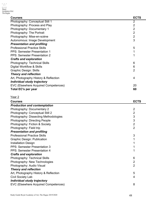| <b>Courses</b>                                                | <b>ECTS</b>    |
|---------------------------------------------------------------|----------------|
| Photography: Conceptual Still 1                               | 2              |
| Photography: Process and Play                                 | $\overline{2}$ |
| Photography: Documentary 1                                    | $\overline{2}$ |
| Photography: The Portrait                                     | $\overline{2}$ |
| Photography: Mise-en-scène                                    | $\overline{2}$ |
| Autonomous: Image Development                                 | 3              |
| <b>Presentation and profiling</b>                             |                |
| <b>Professional Practice Skills</b>                           | 5              |
| <b>PPS: Semester Presentation 1</b>                           | 1              |
| <b>PPS: Semester Presentation 2</b>                           | 1              |
| <b>Crafts and exploration</b>                                 |                |
| <b>Photography: Technical Skills</b>                          | 6              |
| Digital Workflow & Skills                                     | 6              |
| <b>Graphic Design: Skills</b>                                 | $\overline{2}$ |
| <b>Theory and reflection</b>                                  |                |
| Art, Photography History & Reflection                         | 4              |
| <b>Individual study trajectory</b>                            |                |
| EVC (Elsewhere Acquired Competences)                          | 20             |
| <b>Total EC's per year</b>                                    | 60             |
|                                                               |                |
| <u>Year 2</u>                                                 |                |
| <b>Courses</b>                                                | <b>ECTS</b>    |
| <b>Production and contemplation</b>                           |                |
| Photography: Documentary 2                                    | $\overline{2}$ |
| Photography: Conceptual Still 2                               | $\overline{2}$ |
| Photography: Dissecting Methodologies                         | 3              |
| Photography: Directing People                                 | 3              |
| Photography: Fiction & Society                                | $\overline{2}$ |
| Photography: Field trip                                       | $\overline{2}$ |
| <b>Presentation and profiling</b>                             |                |
| <b>Professional Practice Skills</b>                           | 3              |
|                                                               |                |
|                                                               |                |
| <b>Graphic Design: Publication</b>                            |                |
| <b>Installation Design</b>                                    |                |
| <b>PPS: Semester Presentation 3</b>                           |                |
| PPS: Semester Presentation 4<br><b>Crafts and exploration</b> | 1              |
|                                                               |                |

Photography: New Technologies

Art, Photography History & Reflection

EVC (Elsewhere Acquired Competences)

Photography: Audio Visual

*Individual study trajectory*

*Theory and reflection*

Civil Society Lab

2

2

5

4

8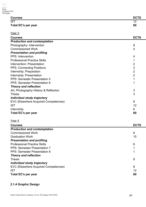| <b>Courses</b>             | <b>ECTS</b> |
|----------------------------|-------------|
| <b>IST</b>                 | 12          |
| <b>Total EC's per year</b> | 60          |

| Year 3                                |                |
|---------------------------------------|----------------|
| <b>Courses</b>                        | <b>ECTS</b>    |
| <b>Production and contemplation</b>   |                |
| Photography: Intervention             | 8              |
| <b>Commissioned Work</b>              | 4              |
| <b>Presentation and profiling</b>     |                |
| <b>PPS:</b> Intervention              | 4              |
| <b>Professional Practice Skills</b>   |                |
| Intervention: Presentation            | 2              |
| <b>PPS: Connecting Positions</b>      | 3              |
| Internship: Preparation               | $\overline{2}$ |
| Internship: Presentation              | $\overline{2}$ |
| <b>PPS: Semester Presentation 5</b>   |                |
| PPS: Semester Presentation 6          |                |
| <b>Theory and reflection</b>          |                |
| Art, Photography History & Reflection | 3              |
| <b>Thesis</b>                         | 3              |
| Individual study trajectory           |                |
| EVC (Elsewhere Acquired Competences)  | 8              |
| <b>IST</b>                            | 12             |
| Internship                            | 6              |
| <b>Total EC's per year</b>            | 60             |

| <b>Courses</b>                       | <b>ECTS</b> |
|--------------------------------------|-------------|
| <b>Production and contemplation</b>  |             |
| <b>Commissioned Work</b>             | 8           |
| <b>Graduation Work</b>               | 15          |
| <b>Presentation and profiling</b>    |             |
| <b>Professional Practice Skills</b>  | 6           |
| PPS: Semester Presentation 7         |             |
| <b>PPS: Semester Presentation 8</b>  |             |
| <b>Theory and reflection</b>         |             |
| <b>Thesis</b>                        | 9           |
| Individual study trajectory          |             |
| EVC (Elsewhere Acquired Competences) | 8           |
| <b>IST</b>                           | 12          |
| Total EC's per year                  | 60          |

# **2.1.4 Graphic Design**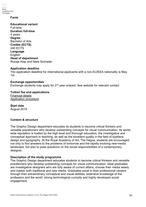$\frac{1}{2}$ Royal **Academy of Art The Hague** 

### **Facts**

**Educational variant** Full-time **Duration full-time** 4 years **Degree** Bachelor of Arts **Credits (ECTS)** 240 ECTS **Language English Head of department** Roosje Klap and Niels Schrader

#### **Application deadline**

The application deadline for international applicants with a non-EU/EEA nationality is May 1st.

#### **Exchange opportunities**

Exchange students may apply for  $2<sup>nd</sup>$  year onward. See website for relevant contact

### **Tuition fee and applications** Financial details Application procedure

**Start date** August 2019

### **Content & structure**

The Graphic Design department educates its students to become critical thinkers and versatile practitioners who develop outstanding concepts for visual communication. Its worldwide reputation is fuelled by the high level and thorough education, the investigative and conceptual approach in teaching, as well as the excellent quality in the field of typeface design and typography. At the Royal Academy of Art, The Hague, students are encouraged not only to find answers to the problems of tomorrow and the rapidly evolving new-media landscape, but also to pose questions on the social responsibilities of a contemporary designer.

#### **Description of the study programme**

The Graphic Design department educates students to become critical thinkers and versatile practitioners who develop outstanding concepts for visual communication. Ideal graduates are investigative designers who are fully aware of current affairs, choose their media wisely and master both traditional and new media. Graduates excel in their professional careers through their extraordinary conceptual and visual abilities, extensive knowledge of the profession and the world, strong technological curiosity and highly developed social engagement.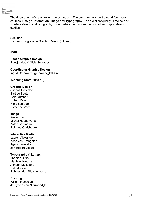$\begin{array}{c} \bullet \quad \bullet \quad \bullet \\ \bullet \quad \bullet \end{array}$ Royal Academy of Art The Hague

> The department offers an extensive curriculum. The programme is built around four main courses: **Design, Interaction, Image** and **Typography**. The excellent quality in the field of typeface design and typography distinguishes the programme from other graphic design studies.

# **See also:**

Bachelor programme Graphic Design (full text)

# **Staff**

**Heads Graphic Design** Roosje Klap & Niels Schrader

### **Coordinator Graphic Design** Ingrid Grunwald: i.grunwald@kabk.nl

# **Teaching Staff (2018-19)**

# **Graphic Design**

Susana Carvalho Bart de Baets Gert Dumbar Ruben Pater Niels Schrader Esther de Vries

# **Image**

Kevin Bray Michel Hoogervorst Katrin Korfmann Reinoud Oudshoorn

# **Interactive Media**

Lauren Alexander Kees van Drongelen Agata Jaworska Jan Robert Leegte

# **Typography & Letters**

Thomas Buxó Matthias Kreutzer Adriaan Mellegers Britt Moricke Rob van den Nieuwenhuizen

# **Drawing**

Willem Moeselaar Jordy van den Nieuwendijk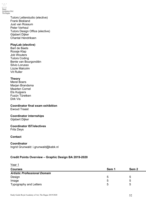$\begin{array}{cc} \bullet & \bullet & \bullet \\ \bullet & \bullet \end{array}$ Royal<br>Academy of Art The Hague

> Tutors Letterstudio (elective) Frank Blokland Just van Rossum Peter Verheul Tutors Design Office (elective) Gijsbert Dijker Chantal Hendriksen

# **PlayLab (elective)**

Bart de Baets Roosje Klap Job Wouters Tutors Coding Bente van Bourgondiën Silvio Lorusso Lizzie Malcolm Vit Ruller

# **Theory**

Merel Boers Marjan Brandsma Maarten Cornel Els Kuijpers Fusün Türetken Dirk Vis

#### **Coordinator final exam exhibition** Ewoud Traast

# **Coordinator internships**

Gijsbert Dijker

# **Coordinator IST/electives**

Frits Deys

# **Contact**

#### **Coordinator**

Ingrid Grunwald: i.grunwald@kabk.nl

# **Credit Points Overview – Graphic Design BA 2019-2020**

| Year 1                              |       |       |
|-------------------------------------|-------|-------|
| <b>Courses</b>                      | Sem 1 | Sem 2 |
| <b>Artistic Professional Domain</b> |       |       |
| Design                              | 5     | b     |
| Image                               | 5     | b     |
| <b>Typography and Letters</b>       | 5     | ∽     |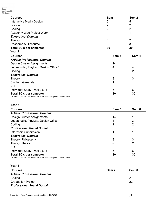$\begin{array}{cc} * & * \\ * & * \end{array}$  $\overline{\phantom{a}}$ Royal<br>Academy of Art<br>The Hague

| <b>Courses</b>                                                        | Sem 1            | Sem <sub>2</sub> |
|-----------------------------------------------------------------------|------------------|------------------|
| Interactive Media Design                                              | 5                | 5                |
| Drawing                                                               | $\overline{2}$   | $\overline{2}$   |
| Coding                                                                | $\overline{2}$   | $\overline{2}$   |
| Academy-wide Project Week                                             |                  | 1                |
| <b>Theoretical Domain</b>                                             |                  |                  |
| Theory                                                                | 3                | 2                |
| <b>Research &amp; Discourse</b>                                       | 3                | 3                |
| <b>Total EC's per semester</b>                                        | 30               | 30               |
| Year 2                                                                |                  |                  |
| <b>Courses</b>                                                        | Sem <sub>3</sub> | Sem 4            |
| <b>Artistic Professional Domain</b>                                   |                  |                  |
| Design Cluster Assignments                                            | 14               | 14               |
| Letterstudio, PlayLab, Design Office *                                | 4                | 4                |
| Coding                                                                | $\overline{2}$   | $\overline{2}$   |
| <b>Theoretical Domain</b>                                             |                  |                  |
| Theory                                                                | 3                | 3                |
| <b>Studium Generale</b>                                               |                  | 1                |
| <b>IST</b>                                                            |                  |                  |
| Individual Study Track (IST)                                          | 6                | 6                |
| <b>Total EC's per semester</b>                                        | 30               | 30               |
| * Students can choose one of the three elective options per semester. |                  |                  |

# Year 3

| <b>Courses</b>                                                        | Sem 5 | Sem 6          |
|-----------------------------------------------------------------------|-------|----------------|
| <b>Artistic Professional Domain</b>                                   |       |                |
| Design Cluster Assignments                                            | 14    | 13             |
| Letterstudio, PlayLab, Design Office *                                | 4     | 3              |
| Coding                                                                | 2     | $\overline{2}$ |
| <b>Professional Social Domain</b>                                     |       |                |
| <b>Internship Supervision</b>                                         |       | 1              |
| <b>Theoretical Domain</b>                                             |       |                |
| Theory: Philosophy                                                    | 3     | 3              |
| Theory: Thesis                                                        |       | $\overline{2}$ |
| <b>IST</b>                                                            |       |                |
| Individual Study Track (IST)                                          | 6     | 6              |
| <b>Total EC's per semester</b>                                        | 30    | 30             |
| * Students can choose one of the three elective options per semester. |       |                |

|--|--|--|--|

| <b>Courses</b>                      | Sem 7 | Sem 8 |
|-------------------------------------|-------|-------|
| <b>Artistic Professional Domain</b> |       |       |
| Coding                              |       |       |
| <b>Graduation Project</b>           | ۰     | 22.   |
| <b>Professional Social Domain</b>   |       |       |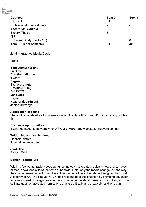| <b>Courses</b>                       | Sem 7 | Sem <sub>8</sub> |
|--------------------------------------|-------|------------------|
| Internship                           | 12    |                  |
| <b>Professional Practical Skills</b> | 2     |                  |
| <b>Theoretical Domain</b>            |       |                  |
| Theory: Thesis                       | 8     |                  |
| <b>IST</b>                           |       |                  |
| Individual Study Track (IST)         | 6     | 6                |
| <b>Total EC's per semester</b>       | 30    | 30               |

# **2.1.5 Interactive/Media/Design**

### **Facts**

**Educational variant** Full-time **Duration full-time** 4 years **Degree** Bachelor of Arts **Credits (ECTS)** 240 ECTS **Language English Head of department** Janine Huizenga

#### **Application deadline**

The application deadline for international applicants with a non-EU/EEA nationality is May 1st.

# **Exchange opportunities**

Exchange students may apply for  $2<sup>nd</sup>$  year onward. See website for relevant contact

**Tuition fee and applications** Financial details Application procedure

**Start date** August 2019

# **Content & structure**

Within a few years, rapidly developing technology has created radically new and complex human, social and cultural patterns of behaviour. Not only the media change, but the way they impact every aspect of our lives. The Bachelor Interactive/Media/Design of the Royal Academy of Art, The Hague (KABK) has responded to this situation by providing education for a new breed of design professionals, who can understand these complex changes, who call into question accepted norms, who analyse critically and creatively, and who can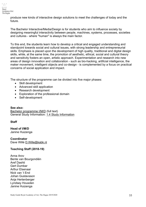$\begin{array}{c} \bullet \quad \bullet \quad \bullet \\ \bullet \quad \bullet \quad \bullet \end{array}$ Royal **Academy of Art** The Hague

> produce new kinds of interactive design solutions to meet the challenges of today and the future.

The Bachelor Interactive/Media/Design is for students who aim to influence society by designing meaningful interactivity between people, machines, systems, processes, societies and cultures - where "human" is always the main factor.

To this end, the students learn how to develop a critical and engaged understanding and standpoint towards social and cultural issues, with strong leadership and entrepreneurial skills. Emphasis is placed upon the development of high quality, traditional and digital design skills, while, at the same time, the promotion of aesthetic, ethical, social and cultural theory and sensitivity fosters an open, artistic approach. Experimentation and research into new areas of design innovation and collaboration - such as bio-hacking, artificial intelligence, the maker movement, intelligent objects and co-design - is complemented by a focus on practical concerns of social application and impact.

The structure of the programme can be divided into five major phases:

- Skill development
- Advanced skill application
- Research development
- Exploration of the professional domain
- Self-development

#### **See also:**

Bachelor programme I/M/D (full text) General Study Information: 1.4 Study Information

#### **Staff**

**Head of I/M/D** Janine Huizenga

**Coordinator** Dave Willé D.Wille@kabk.nl

# **Teaching Staff (2018-19)**

Anna Arov Bente van Bourgondiën Aref Dashti Gert Dumbar Arthur Elsenaar Nick van 't End Johan Gustavsson Anja Hertenberger Lyndsey Housden Janine Huizenga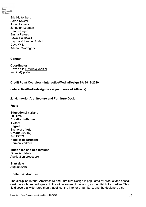$\begin{array}{c} \bullet \quad \bullet \quad \bullet \\ \bullet \quad \bullet \end{array}$ Royal Academy of Art The Hague

> Eric Kluitenberg Sarah Kolster Jonah Lamers Jonathan Looman Dennis Luijer Emma Pareschi Pawel Pokutycki Raymond Taudin Chabot Dave Willé Adriaan Wormgoor

# **Contact**

**Coordinator** Dave Willé D.Wille@kabk.nl and imd@kabk.nl

# **Credit Point Overview – Interactive/Media/Design BA 2019-2020**

# **(Interactive/Media/design is a 4 year corse of 240 ec's)**

# **2.1.6. Interior Architecture and Furniture Design**

**Facts**

**Educational variant** Full-time **Duration full-time** 4 years **Degree** Bachelor of Arts **Credits (ECTS)** 240 ECTS **Head of department** Herman Verkerk

**Tuition fee and applications** Financial details Application procedure

**Start date** August 2019

# **Content & structure**

The discipline Interior Architecture and Furniture Design is populated by product and spatial designers who regard space, in the wider sense of the word, as their field of expertise. This field covers a wider area than that of just the interior or furniture, and the designers also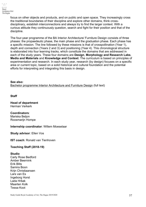focus on other objects and products, and on public and open space. They increasingly cross the traditional boundaries of their discipline and explore other domains, think crossdisciplinary, establish interconnections and always try to find the larger context. With a curious attitude they continuously question, search and fight for their position and that of the discipline.

The four-year programme of the BA Interior Architecture/ Furniture Design consists of three phases: the propaedeutic phase, the main phase and the graduation phase. Each phase has a specific mission. The line followed by these missions is that of crosspollination (Year 1), depth and connection (Years 2 and 3) and positioning (Year 4). This chronological structure is elaborated into four learning tracks, which constitute the domains that are addressed in each of the study years. These four domains are **Design**, **Morphology and Research Labs**, **Media and Materials** and **Knowledge and Context**. The curriculum is based on principles of experimentation and research. In each study year, research (by design) focuses on a specific area or current topic, based on a solid historical and cultural foundation and the potential efforts for interpreting and integrating this basis in design.

**See also:** Bachelor programme Interior Architecture and Furniture Design (full text)

**Staff**

**Head of department** Herman Verkerk

**Coordinators**: Mariska Beljon Roosmarijn Hompe

**Internship coordinator**: Willem Moeselaar

**Study advisor**: Ellen Vos

**IST coach**: Ronald van Tienhoven

# **Teaching Staff (2018-19)**

#### **Studio**

Carly Rose Bedford Amber Beernink Erik Blits Samira Boon Krijn Christiaansen Lars van Es Ingeborg Horst Lada Hršak Maarten Kolk Tessa Koot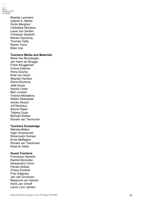$\begin{array}{c} \bullet \quad \bullet \quad \bullet \\ \bullet \quad \bullet \end{array}$ Royal Academy of Art The Hague

> Maartje Lammers Gabriel A. Maher Giulio Margheri Cathelijne Montens Laura van Santen Christoph Seyferth Nienke Sybrandy Thomas Vailly Ramin Visch Ellen Vos

#### **Teachers Media and Materials**

Marie Ilse Bourlanges Jan Harm ter Brugge Frank Bruggeman Corine Datema Floris Douma Roel van Herpt Maarten Kanters Elena Khurtova Jelle Koper Harold Linker Bert Lonsain Victoria Meniakina Willem Moeselaar Jeroen Musch Jof Neuhaus Sanne Peper **Tatiana Quax** Michaël Snitker Ronald van Tienhoven

#### **Teachers Knowledge**

Mariska Beljon Inger Groeneveld Roosmarijn Hompe Ernie Mellegers Ronald van Tienhoven Rosa te Velde

#### **Guest Teachers**

Francesco Apostoli Rachel Borovska Alessandra Covini Femke Dekker Chiara Dorbolò Fran Edgerley Jan van Grunsven Marjanne van Helvert Henk -Jan Imhoff Laura Lynn Jansen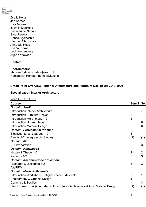$\begin{array}{cc} \bullet & \bullet & \bullet \\ \bullet & \bullet & \end{array}$ Royal<br>Academy of Art<br>The Hague

> Zsofia Kollar Jan Körbes Rick Mouwen Jasmijn Muskens Bastiaan de Nennie Sara Pereira Renzo Sgolacchia Stephen Shropshire Anna Sitnikova Eva Verberne Luuk Wezenberg Arjen Witteveen

# **Contact**

# **Coordinators:**

Mariska Beljon m.beljon@kabk.nl Roosmarijn Hompe r.hompe@kabk.nl

# **Credit Point Overview – Interior Architecture and Furniture Design BA 2019-2020**

# **Specialisation Interior Architecture**

Year 1 - EXPLORE

| <b>Course</b>                                                                        | Sem 1          | Sen |
|--------------------------------------------------------------------------------------|----------------|-----|
| <b>Domain: Studio</b>                                                                |                |     |
| Introduction Interior Architecture                                                   | 6              |     |
| <b>Introduction Furniture Design</b>                                                 | 6              |     |
| Introduction Morphology 1-2                                                          | 5              |     |
| <b>Introduction Urban Interior</b>                                                   |                | 6   |
| <b>Introduction Material Design</b>                                                  |                | 6   |
| <b>Domain: Professional Practice</b>                                                 |                |     |
| Electives: Sites & Stages 1-2                                                        | 1              |     |
| Events 1-2 (integrated in Studio)                                                    | (1)            | (1) |
| <b>Domain: IST</b>                                                                   |                |     |
| <b>IST Preparation</b>                                                               |                | 3   |
| <b>Domain: Knowledge</b>                                                             |                |     |
| History & Theory 1-2                                                                 | $\overline{2}$ | 2   |
| Alchemy 1-2                                                                          | 3              | 3   |
| <b>Domain: Academy-wide Education</b>                                                |                |     |
| Research & Discourse 1-2                                                             | 3              | 3   |
| <b>AWPPW</b>                                                                         |                |     |
| Domain: Media & Materials                                                            |                |     |
| Introduction Workshops + Digital Tools + Materials                                   | 3              |     |
| Photography & Graphic Design                                                         |                |     |
| <b>Ceramics &amp; Textiles</b>                                                       |                | 3   |
| Hand Drawing 1-2 (integrated in Intro Interior Architecture & Intro Material Design) | (1)            | (1) |
|                                                                                      |                |     |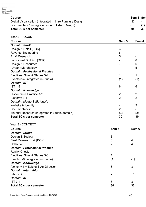| <b>Course</b>                                                | Sem 1 Sen      |                          |
|--------------------------------------------------------------|----------------|--------------------------|
| Digital Visualisation (integrated in Intro Furniture Design) |                | $\overline{\phantom{a}}$ |
| Documentary 1 (integrated in Intro Urban Design)             | $\sim$ 10 $\,$ |                          |
| <b>Total EC's per semester</b>                               | 30             | 30                       |

Year 2 - FOCUS

| <b>Course</b>                                   | Sem <sub>3</sub> | Sem 4          |
|-------------------------------------------------|------------------|----------------|
| <b>Domain: Studio</b>                           |                  |                |
| Design & Detail [DOK]                           | 6                |                |
| <b>Reverse Engineering</b>                      | 6                |                |
| Art & Research                                  | 5                |                |
| <b>Improvised Building [DOK]</b>                |                  | 6              |
| Design & Resources                              |                  | 6              |
| (Urban) Morphology                              |                  | 5              |
| <b>Domain: Professional Practice</b>            |                  |                |
| Electives: Sites & Stages 3-4                   |                  | 1              |
| Events 3-4 (integrated in Studio)               | (1)              | (1)            |
| <b>Domain: IST</b>                              |                  |                |
| <b>IST 1-2</b>                                  | 6                | 6              |
| <b>Domain: Knowledge</b>                        |                  |                |
| Discourse & Practice 1-2                        | 2                | 2              |
| Alchemy 3-4                                     | $\overline{2}$   | 2              |
| <b>Domain: Media &amp; Materials</b>            |                  |                |
| Website & Identity                              |                  | $\overline{2}$ |
| Documentary 2                                   | $\overline{2}$   |                |
| Material Research (integrated in Studio domain) | (3)              | (3)            |
| <b>Total EC's per semester</b>                  | 30               | 30             |

# Year 3 - CONTEXT

| <b>Course</b>                        | Sem 5 | Sem 6 |
|--------------------------------------|-------|-------|
| <b>Domain: Studio</b>                |       |       |
| Design & Society                     | 8     |       |
| Field Research 1-2 [DOK]             | 8     | 4     |
| Collection                           |       | 4     |
| <b>Domain: Professional Practice</b> |       |       |
| <b>Reality Check</b>                 | 4     |       |
| Electives: Sites & Stages 5-6        |       |       |
| Events 5-6 (integrated in Studio)    | (1)   | (1)   |
| <b>Domain: Knowledge</b>             |       |       |
| Alchemy 5 + Editing & Art Direction  | 3     | 3     |
| <b>Domain: Internship</b>            |       |       |
| Internship                           |       | 15    |
| <b>Domain: IST</b>                   |       |       |
| <b>IST 3-4</b>                       | 6     | 3     |
| <b>Total EC's per semester</b>       | 30    | 30    |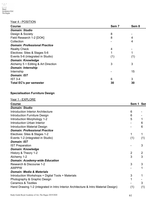$\begin{array}{cc} \bullet & \bullet & \bullet \\ \bullet & \bullet & \end{array}$  $\sim$ Royal<br>Academy of Art<br>The Hague

# Year 4 - POSITION

| <b>Course</b>                        | Sem 7 | Sem <sub>8</sub> |
|--------------------------------------|-------|------------------|
| <b>Domain: Studio</b>                |       |                  |
| Design & Society                     | 8     |                  |
| Field Research 1-2 [DOK]             | 8     | 4                |
| Collection                           |       | 4                |
| <b>Domain: Professional Practice</b> |       |                  |
| <b>Reality Check</b>                 | 4     |                  |
| Electives: Sites & Stages 5-6        | 1     |                  |
| Events 5-6 (integrated in Studio)    | (1)   | (1)              |
| <b>Domain: Knowledge</b>             |       |                  |
| Alchemy 5 + Editing & Art Direction  | 3     | 3                |
| <b>Domain: Internship</b>            |       |                  |
| Internship                           |       | 15               |
| <b>Domain: IST</b>                   |       |                  |
| <b>IST 3-4</b>                       | 6     | 3                |
| <b>Total EC's per semester</b>       | 30    | 30               |

# **Specialisation Furniture Design**

# Year 1 - EXPLORE

| <b>Course</b>                                                                        | Sem 1 Sen      |     |
|--------------------------------------------------------------------------------------|----------------|-----|
| <b>Domain: Studio</b>                                                                |                |     |
| Introduction Interior Architecture                                                   | 6              |     |
| <b>Introduction Furniture Design</b>                                                 | 6              |     |
| Introduction Morphology 1-2                                                          | 5              |     |
| Introduction Urban Interior                                                          |                | 6   |
| <b>Introduction Material Design</b>                                                  |                | 6   |
| <b>Domain: Professional Practice</b>                                                 |                |     |
| Electives: Sites & Stages 1-2                                                        |                | 1   |
| Events 1-2 (integrated in Studio)                                                    | (1)            | (1) |
| <b>Domain: IST</b>                                                                   |                |     |
| <b>IST Preparation</b>                                                               |                | 3   |
| <b>Domain: Knowledge</b>                                                             |                |     |
| History & Theory 1-2                                                                 | $\overline{2}$ | 2   |
| Alchemy 1-2                                                                          | 3              | 3   |
| <b>Domain: Academy-wide Education</b>                                                |                |     |
| Research & Discourse 1-2                                                             | 3              | 3   |
| <b>AWPPW</b>                                                                         |                | 1   |
| Domain: Media & Materials                                                            |                |     |
| Introduction Workshops + Digital Tools + Materials                                   | 3              |     |
| Photography & Graphic Design                                                         |                |     |
| <b>Ceramics &amp; Textiles</b>                                                       |                | 3   |
| Hand Drawing 1-2 (integrated in Intro Interior Architecture & Intro Material Design) | (1)            | (1) |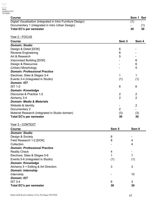| <b>Course</b>                                                | Sem 1 Sen      |                          |
|--------------------------------------------------------------|----------------|--------------------------|
| Digital Visualisation (integrated in Intro Furniture Design) |                | $\overline{\phantom{a}}$ |
| Documentary 1 (integrated in Intro Urban Design)             | $\sim$ 10 $\,$ |                          |
| <b>Total EC's per semester</b>                               | 30             | 30                       |

Year 2 - FOCUS

| <b>Course</b>                                   | Sem <sub>3</sub> | Sem 4          |
|-------------------------------------------------|------------------|----------------|
| <b>Domain: Studio</b>                           |                  |                |
| Design & Detail [DOK]                           | 6                |                |
| <b>Reverse Engineering</b>                      | 6                |                |
| Art & Research                                  | 5                |                |
| <b>Improvised Building [DOK]</b>                |                  | 6              |
| Design & Resources                              |                  | 6              |
| (Urban) Morphology                              |                  | 5              |
| <b>Domain: Professional Practice</b>            |                  |                |
| Electives: Sites & Stages 3-4                   |                  | 1              |
| Events 3-4 (integrated in Studio)               | (1)              | (1)            |
| <b>Domain: IST</b>                              |                  |                |
| <b>IST 1-2</b>                                  | 6                | 6              |
| <b>Domain: Knowledge</b>                        |                  |                |
| Discourse & Practice 1-2                        | 2                | 2              |
| Alchemy 3-4                                     | $\overline{2}$   | 2              |
| <b>Domain: Media &amp; Materials</b>            |                  |                |
| Website & Identity                              |                  | $\overline{2}$ |
| Documentary 2                                   | $\overline{2}$   |                |
| Material Research (integrated in Studio domain) | (3)              | (3)            |
| <b>Total EC's per semester</b>                  | 30               | 30             |

# Year 3 - CONTEXT

| <b>Course</b>                        | Sem 5 | Sem 6 |
|--------------------------------------|-------|-------|
| <b>Domain: Studio</b>                |       |       |
| Design & Society                     | 8     |       |
| Field Research 1-2 [DOK]             | 8     | 4     |
| Collection                           |       | 4     |
| <b>Domain: Professional Practice</b> |       |       |
| <b>Reality Check</b>                 | 4     |       |
| Electives: Sites & Stages 5-6        |       |       |
| Events 5-6 (integrated in Studio)    | (1)   | (1)   |
| <b>Domain: Knowledge</b>             |       |       |
| Alchemy 5 + Editing & Art Direction  | 3     | 3     |
| <b>Domain: Internship</b>            |       |       |
| Internship                           |       | 15    |
| <b>Domain: IST</b>                   |       |       |
| <b>IST 3-4</b>                       | 6     | 3     |
| <b>Total EC's per semester</b>       | 30    | 30    |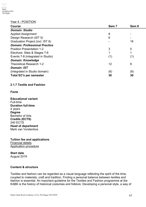$\frac{1}{2}$ Royal Academy of Art The Hague

#### Year 4 - POSITION

| Course                               | Sem 7 | Sem 8 |
|--------------------------------------|-------|-------|
| <b>Domain: Studio</b>                |       |       |
| <b>Applied Assignment</b>            | 8     |       |
| Design Research (IST 5)              | 6     |       |
| Graduation Project (incl. IST 6)     |       | 16    |
| <b>Domain: Professional Practice</b> |       |       |
| <b>Position Presentation 1-2</b>     | 3     | 5     |
| Electives: Sites & Stages 7-8        |       |       |
| Events 7-8 (integrated in Studio)    | (1)   | (1)   |
| <b>Domain: Knowledge</b>             |       |       |
| Theoretical Research 1-2             | 12    | 8     |
| <b>Domain: IST</b>                   |       |       |
| (integrated in Studio domain)        | (6)   | (6)   |
| <b>Total EC's per semester</b>       | 30    | 30    |

# **2.1.7 Textile and Fashion**

#### **Facts**

**Educational variant** Full-time **Duration full-time** 4 years **Degree** Bachelor of Arts **Credits (ECTS)** 240 ECTS **Head of department** Mark van Vorstenbos

**Tuition fee and applications** Financial details Application procedure

**Start date** August 2019

# **Content & structure**

Textiles and fashion can be regarded as a visual language reflecting the spirit of the time, coupled to materials, craft and tradition. Finding a personal balance between textiles and fashion is essential. An important guideline for the Textiles and Fashion programme at the KABK is the history of historical costumes and folklore. Developing a personal style, a way of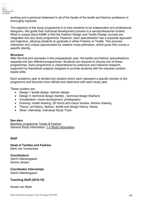working and a personal statement in all of the facets of the textile and fashion profession is thoroughly explored.

The objective of the study programme is to train students to be independent and professional designers. We guide their individual development process in a semiprofessional context. What is unique about KABK is that the Fashion Design and Textile Design courses are integrated into one study programme. However, each specialisation has a separate approach and trajectory, allowing students to graduate in either Fashion or Textile. This ensures interaction and unique opportunities for creative cross-pollination, which gives this course a specific identity.

### **Structure**

After the first joint semester in the propaedeutic year, the textile and fashion specialisations separate into two different programmes. Students are required to choose one of these programmes. Each programme is characterised by extensive and intensive research, supported by theoretical subjects designed to provide students with the required contentbased skills.

Each academic year is divided into clusters which each represent a specific domain in the programme and become more refined and distinctive with each study year.

These clusters are:

- Design I: textile design, fashion design
- Design II: technical design (textile) , technical design (fashion)
- Visualisation: visual development, photography
- Drawing: model drawing, 2D forms and colour studies, fashion drawing
- Theory: art history, fashion, textile and design history, thesis
- Other: internship, Individual Study Track

# **See also:**

Bachelor programme Textile & Fashion General Study Information: 1.4 Study Information

# **Staff**

**Head of Textiles and Fashion** Mark van Vorstenbos

**Coordinators**  Gerrit Uittenbogaard Sanne Jansen

**Coordinator Internships** Gerrit Uittenbogaard

# **Teaching Staff (2018-19)**

Anoek van Beek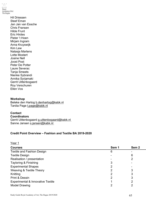$\frac{1}{2}$  ,  $\frac{1}{2}$ Royal<br>Academy of Art The Hague

> Hil Driessen Steef Eman Jan Jan van Essche Chris Fransen Hilde Frunt Eric Hirdes Pieter 't Hoen Mirjam Ingram Anna Kruyswijk Kim Lew Natasja Martens Lotte Mostert Josine Nell Joost Post Peter De Potter Laure Severac Tanja Smeets Nienke Sybrandi Annika Syrjamaki Gerrit Uittenbogaard Roy Verschuren Ellen Vos

# **Workshop**

Beleke den Hartog b.denhartog@kabk.nl Tardia Page t.page@kabk.nl

# **Contact Coordinators**  Gerrit Uittenbogaard g.uittenbogaard@kabk.nl Sanne Jansen s.jansen@kabk.nl

# **Credit Point Overview – Fashion and Textile BA 2019-2020**

#### Year<sub>1</sub>

| <b>Courses</b>                      | Sem 1 | Sem <sub>2</sub> |
|-------------------------------------|-------|------------------|
| <b>Textile and Fashion Design</b>   | 6     |                  |
| <b>Textile Design</b>               |       | 6                |
| Realisation / presentation          |       |                  |
| Tayloring & Finishing               |       |                  |
| <b>Experimental Shapes</b>          |       |                  |
| <b>Weaving &amp; Textile Theory</b> |       |                  |
| Knitting                            | 2     |                  |
| <b>Print &amp; Dessin</b>           |       |                  |
| Experimental & Innovative Textile   |       |                  |
| <b>Model Drawing</b>                |       |                  |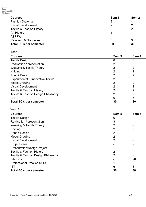| <b>Courses</b>                       | Sem 1 | Sem 2 |
|--------------------------------------|-------|-------|
| <b>Fashion Drawing</b>               |       | -     |
| <b>Visual Development</b>            |       | 2     |
| <b>Textile &amp; Fashion History</b> |       | 2     |
| <b>Art History</b>                   |       |       |
| <b>ABPPW</b>                         |       |       |
| Research & Discourse                 | 3     | 3     |
| <b>Total EC's per semester</b>       | 30    | 30    |

| <b>Courses</b>                       | Sem <sub>3</sub> | Sem 4 |
|--------------------------------------|------------------|-------|
| <b>Textile Design</b>                | 6                | 6     |
| Realisation / presentation           |                  | 2     |
| <b>Weaving &amp; Textile Theory</b>  |                  | 2     |
| Knitting                             |                  | 2     |
| <b>Print &amp; Dessin</b>            |                  | 2     |
| Experimental & Innovative Textile    |                  | 2     |
| <b>Model Drawing</b>                 |                  | 2     |
| <b>Visual Development</b>            |                  | 2     |
| <b>Textile &amp; Fashion History</b> |                  | 2     |
| Textile & Fashion Design Philosophy  |                  | 2     |
| <b>IST</b>                           | 6                | 6     |
| <b>Total EC's per semester</b>       | 30               | 30    |

# Year<sub>3</sub>

| <b>Courses</b>                                 | Sem 5 | Sem 6 |
|------------------------------------------------|-------|-------|
| <b>Textile Design</b>                          | 6     |       |
| Realisation / presentation                     |       |       |
| <b>Weaving &amp; Textile Theory</b>            |       |       |
| Knitting                                       |       |       |
| <b>Print &amp; Dessin</b>                      |       |       |
| <b>Model Drawing</b>                           |       |       |
| <b>Visual Development</b>                      |       |       |
| Project week                                   |       | 2     |
| <b>Presentation/Design Project</b>             |       | 2     |
| <b>Textile &amp; Fashion History</b>           |       |       |
| <b>Textile &amp; Fashion Design Philosophy</b> |       |       |
| Internship                                     |       | 20    |
| <b>Professional Practice Skills</b>            |       |       |
| <b>IST</b>                                     | 6     | 6     |
| <b>Total EC's per semester</b>                 | 30    | 30    |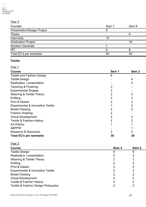| Courses                            | Sem 7 | Sem 8 |
|------------------------------------|-------|-------|
| <b>Presentation/Design Project</b> |       |       |
| <b>Thesis</b>                      |       |       |
| Internship                         | 15    |       |
| <b>Graduation Project</b>          |       | 18    |
| <b>Studium Generale</b>            |       |       |
| <b>IST</b>                         |       |       |
| Total EC's per semester            | 30    | 30    |

# **Textile**

Year 1

| <b>Course</b>                        | Sem 1          | Sem <sub>2</sub> |
|--------------------------------------|----------------|------------------|
| <b>Textile and Fashion Design</b>    | 6              |                  |
| <b>Textile Design</b>                |                | 6                |
| Realisation / presentation           |                | 2                |
| Tayloring & Finishing                | 3              |                  |
| <b>Experimental Shapes</b>           | 2              |                  |
| <b>Weaving &amp; Textile Theory</b>  | 2              | 3                |
| Knitting                             | $\overline{2}$ | 3                |
| <b>Print &amp; Dessin</b>            | 2              | 3                |
| Experimental & Innovative Textile    |                | 2                |
| <b>Model Drawing</b>                 | 2              | 2                |
| <b>Fashion Drawing</b>               | 2              |                  |
| <b>Visual Development</b>            | 2              | 2                |
| <b>Textile &amp; Fashion History</b> | 2              |                  |
| <b>Art History</b>                   |                |                  |
| <b>ABPPW</b>                         |                |                  |
| Research & Discourse                 | 3              | 3                |
| <b>Total EC's per semester</b>       | 30             | 30               |

# Year<sub>2</sub>

| <b>Course</b>                        | Sem <sub>3</sub> | Sem 4 |
|--------------------------------------|------------------|-------|
| <b>Textile Design</b>                | 6                | 6     |
| Realisation / presentation           |                  |       |
| <b>Weaving &amp; Textile Theory</b>  |                  | 2     |
| Knitting                             |                  | 2     |
| Print & Dessin                       |                  | 2     |
| Experimental & Innovative Textile    |                  | 2     |
| <b>Model Drawing</b>                 |                  | 2     |
| <b>Visual Development</b>            |                  | 2     |
| <b>Textile &amp; Fashion History</b> |                  | 2     |
| Textile & Fashion Design Philosophy  |                  | 2     |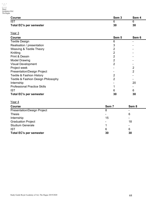| <b>Course</b>                  | Sem 3 | Sem 4 |
|--------------------------------|-------|-------|
| <b>IST</b>                     |       |       |
| <b>Total EC's per semester</b> | 30    | 30    |

|--|--|

| <b>Course</b>                                  | Sem 5 | Sem 6 |
|------------------------------------------------|-------|-------|
| <b>Textile Design</b>                          | 6     |       |
| Realisation / presentation                     | 3     |       |
| <b>Weaving &amp; Textile Theory</b>            | 2     |       |
| Knitting                                       | 2     |       |
| Print & Dessin                                 | 2     |       |
| <b>Model Drawing</b>                           | 2     |       |
| <b>Visual Development</b>                      | 2     |       |
| Project week                                   |       | 2     |
| <b>Presentation/Design Project</b>             |       | 2     |
| <b>Textile &amp; Fashion History</b>           | 2     |       |
| <b>Textile &amp; Fashion Design Philosophy</b> | 2     |       |
| Internship                                     |       | 20    |
| <b>Professional Practice Skills</b>            |       |       |
| <b>IST</b>                                     | 6     | 6     |
| <b>Total EC's per semester</b>                 | 30    | 30    |

| <b>Course</b>                      | Sem 7 | Sem 8 |
|------------------------------------|-------|-------|
| <b>Presentation/Design Project</b> | 8     |       |
| <b>Thesis</b>                      |       | 6     |
| Internship                         | 15    |       |
| <b>Graduation Project</b>          |       | 18    |
| <b>Studium Generale</b>            |       |       |
| <b>IST</b>                         | 6     | 6     |
| <b>Total EC's per semester</b>     | 30    | 30    |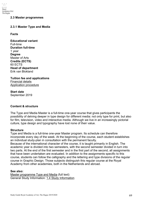$\begin{array}{c} \bullet \quad \bullet \quad \bullet \\ \bullet \quad \bullet \quad \bullet \end{array}$ Royal **Academy of Art The Hague** 

## **2.3 Master programmes**

### **2.3.1 Master Type and Media**

**Facts**

**Educational variant** Full-time **Duration full-time** 1 year **Degree** Master of Arts **Credits (ECTS)** 60 ECTS **Head of department** Erik van Blokland

**Tuition fee and applications** Financial details Application procedure

**Start date** September 2019

### **Content & structure**

The Type and Media Master is a full-time one-year course that gives participants the possibility of delving deeper in type design for different media: not only type for print, but also for film, television, video and interactive media. Although we live in an increasingly pictorial culture, type design and typography have lost none of their value.

#### **Structure**

Type and Media is a full-time one-year Master program. Its schedule can therefore incorporate every day of the week. At the beginning of the course, each student establishes an individual study-plan in consultation with the permanent faculty.

Because of the international character of the course, it is taught primarily in English. The academic year is divided into two semesters, with the second semester divided in turn into two parts. At the end of the first semester and in the first part of the second, all assignments that have been undertaken are evaluated. In addition to the assignments specific to this course, students can follow the calligraphy and the lettering and type divisions of the regular course in Graphic Design. Those subjects distinguish this regular course at the Royal Academy from other academies, both in the Netherlands and abroad.

#### **See also:**

Master programme Type and Media (full text) General Study Information: 1.4 Study Information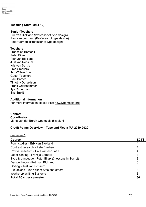$\frac{1}{2}$  ,  $\frac{1}{2}$ Royal<br>Academy of Art The Hague

#### **Teaching Staff (2018-19)**

#### **Senior Teachers**

Erik van Blokland (Professor of type design) Paul van der Laan (Professor of type design) Peter Verheul (Professor of type design)

### **Teachers**

Françoise Berserik Peter Bil'ak Petr van Blokland Just van Rossum Kristyan Sarkis Fred Smeijers Jan Willem Stas Guest Teachers Paul Barnes Timothy Donaldson Frank Grießhammer Ilya Ruderman Bas Smidt

# **Additional information**

For more information please visit: new.typemedia.org

# **Contact Coordinator** Marja van der Burgh typemedia@kabk.nl

# **Credit Points Overview – Type and Media MA 2019-2020**

#### Semester 1

| <b>Course</b>                                       | <b>ECTS</b> |
|-----------------------------------------------------|-------------|
| Form studies - Erik van Blokland                    | 4           |
| Contrast research - Peter Verheul                   | 4           |
| Revival research - Paul van der Laan                | 4           |
| Letter carving - Fransje Berserik                   | 3           |
| Type & Language - Peter Bil'ak (3 lessons in Sem 2) | 3           |
| Design theory - Petr van Blokland                   | 3           |
| Coding - Just van Rossum                            | 3           |
| Excursions - Jan Willem Stas and others             | 3           |
| <b>Workshop Writing Systems</b>                     | 3           |
| <b>Total EC's per semester</b>                      | 30          |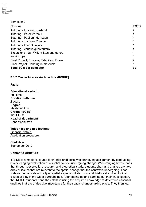$\begin{array}{c} \bullet \quad \bullet \quad \bullet \\ \bullet \quad \bullet \quad \bullet \end{array}$ Royal **Academy of Art** The Hague

#### Semester 2

| <b>Course</b>                            | <b>ECTS</b> |
|------------------------------------------|-------------|
| Tutoring - Erik van Blokland             | 4           |
| <b>Tutoring - Peter Verheul</b>          | 4           |
| Tutoring - Paul van der Laan             | 4           |
| Tutoring - Just van Rossum               |             |
| <b>Tutoring - Fred Smeijers</b>          |             |
| Tutoring - various guest tutors          | 4           |
| Excursions - Jan Willem Stas and others  |             |
| Workshops                                |             |
| Final Project, Process, Exhibition, Exam | 9           |
| Final Project, Handing in materials      |             |
| <b>Total EC's per semester</b>           | 30          |

# **2.3.2 Master Interior Architecture (INSIDE)**

#### **Facts**

**Educational variant** Full-time **Duration full-time** 2 years **Degree** Master of Arts **Credits (ECTS)** 120 ECTS **Head of department** Hans Venhuizen

**Tuition fee and applications** Financial details Application procedure

**Start date** September 2019

# **Content & structure**

INSIDE is a master's course for interior architects who start every assignment by conducting a wide-ranging exploration of a spatial context undergoing change. Wide-ranging here means that through observation, research and theoretical study, students chart and analyse a whole array of issues that are relevant to the spatial change that the context is undergoing. That wide range consists not only of spatial aspects but also of social, historical and ecological issues at play in the wider surroundings. After setting up and carrying out their investigation, the INSIDE students hone their skills in using the acquired knowledge to determine essential qualities that are of decisive importance for the spatial changes taking place. They then learn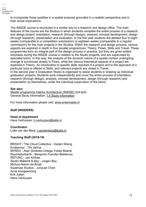to incorporate those qualities in a spatial proposal grounded in a realistic perspective and in their social implications.

The INSIDE course is structured in a similar way to a research and design office. The main features of the course are the Studios in which students complete the entire process of a research and design project: orientation, research (through design), analysis, concept development, design (through research), presentation and evaluation. In the first year students are allotted four to eight weeks (comparable to a competition submission) or eighteen weeks (comparable to a regular commission) for the main projects in the Studios. Within the research and design process, various aspects are explored in depth in four parallel programmes: Theory, Flows, Skills and Travel. These programmes form an integral part of the design process in practice, but they are given added emphasis during the INSIDE course in relation to the Studio projects, and are supervised by specialist tutors. In this way, the analysis of the dynamic nature of a spatial context undergoing change is scrutinized closely in Flows, while the various theoretical aspects of a project are explored in Theory. An introduction to specific skills required in a project and to the approach of a particular tutor is offered in Skills, and relevant projects are visited in Travel. In the second year a Graduation Studio is organised to assist students in drawing up individual graduation projects. Students work independently and cover the entire process of orientation, research (through design), analysis, concept development, design (through research) and presentation by themselves, under the individual supervision of the tutors.

## **See also:**

Master programme Interior Architecture (INSIDE) (full text) General Study Information: 1.4 Study Information

For more information please visit: www.enterinside.nl

## **Staff (INSIDERS)**

**Head of department** Hans Venhuizen: h.venhuizen@kabk.nl

**Coordinator** Lotte van den Berg: l.vandenberg@kabk.nl

## **Teaching Staff (2018-19)**

BRIGHT / The Cloud Collective - Gerjan Streng Endeavour - Tim deVos MVRDV - Aser Giménez-Ortega, Fokke Moerel Raumlaborberlin - Benjamin Foerster-Baldenius REFUNC - Jan Körbes Studio Makkink & Bey - Jurgen Bey, Michou-Nanon de Bruijn Superuse Studios - Junyuan Chen Anne Hoogewoning Erik Jutten Hans Venhuizen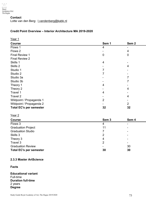#### **Contact**

Lotte van den Berg: l.vandenberg@kabk.nl

#### **Credit Point Overview – Interior Architecture MA 2019-2020**

## Year 1 **Course Sem 1 Sem 2** Flows 1  $\sim$  -Flows 2  $\sim$  4 Final Review 1 0 0 Final Review 2 Skills 1 and 1 and 1 and 1 and 1 and 1 and 1 and 1 and 1 and 1 and 1 and 1 and 1 and 1 and 1 and 1 and 1 and 1 Skills 2 and 2 and 2 and 2 and 2 and 2 and 2 and 2 and 2 and 2 and 2 and 2 and 2 and 2 and 2 and 2 and 2 and 2 Studio 1 and 2 and 2 and 2 and 2 and 2 and 2 and 2 and 2 and 2 and 2 and 2 and 2 and 2 and 2 and 2 and 2 and 2 Studio 2 and 2 and 2 and 2 and 2 and 2 and 2 and 2 and 2 and 2 and 2 and 2 and 2 and 2 and 2 and 2 and 2 and 2 Studio 3a - 70 Anii 100 Anii 110 Anii 120 Anii 120 Anii 120 Anii 120 Anii 120 Anii 120 Anii 120 Anii 120 Anii 1 Studio 3b and 2012 and 2012 and 2012 and 2012 and 2012 and 2012 and 2012 and 2012 and 2012 and 2012 and 2012 and 201 Theory 1  $\hphantom{i\hphantom{i\hphantom{i}}\qquad}$ Theory 2  $\hphantom{\ddots}$  4  $\hphantom{\ddots}$ Travel 1 4 -  $\blacksquare$  Travel 2  $\blacksquare$ Wildpoint / Propaganda 1 and 2 and 2 and 2 and 2 and 2 and 2 and 2 and 2 and 2 and 2 and 2 and 2 and 2 and 2 and 2 and 2 and 2 and 2 and 2 and 2 and 2 and 2 and 2 and 2 and 2 and 2 and 2 and 2 and 2 and 2 and 2 and 2 and 2 Wildpoint / Propaganda 2 and 2 and 2 and 2 and 2 and 2 and 2 and 2 and 2 and 2 and 2 and 2 and 2 and 2 and 2 and 2 and 2 and 2 and 2 and 2 and 2 and 2 and 2 and 2 and 2 and 2 and 2 and 2 and 2 and 2 and 2 and 2 and 2 and 2 **Total EC's per semester 32 32**

#### Year 2

| <b>Course</b>                  | Sem <sub>3</sub> | Sem 4 |
|--------------------------------|------------------|-------|
| Flows 3                        | 4                |       |
| <b>Graduation Project</b>      | 11               |       |
| <b>Graduation Studio</b>       |                  |       |
| Skills 3                       | 2                |       |
| Theory 3                       | 4                |       |
| Travel 3                       | 2                |       |
| <b>Graduation Review</b>       | ۰                | 30    |
| <b>Total EC's per semester</b> | 30               | 30    |

#### **2.3.3 Master ArtScience**

#### **Facts**

**Educational variant** Full-time **Duration full-time** 2 years **Degree**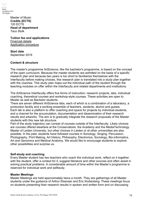Master of Music **Credits (ECTS)** 120 ECTS **Head of department** Taco Stolk

**Tuition fee and applications** Financial details Application procedure

**Start date** September 2019

## **Content & structure**

The master's programme ArtScience, like the bachelor's programme, is based on the concept of the open curriculum. Because the master students are admitted on the basis of a specific research plan and because two years is too short to familiarize themselves with the Interfaculty before making choices, this research plan is translated into a study plan together with the coaches. This study plan maps out the individual path of the student through the teaching modules on offer within the Interfaculty and related departments and institutions.

The ArtScience Interfaculty offers five forms of instruction: research projects, labs, individual coaching, theoretical courses and workshop-style courses. These activities are open to Master as well as Bachelor students.

There are seven different ArtScience labs, each of which is a combination of a laboratory, a production facility and a working ensemble of teachers, students, alumni and guests. Each lab is also a platform to offer coaching and space for projects by individual students, and a channel for the accumulation, documentation and dissemination of their research results and artworks. The aim is to gradually integrate the research proposals of the Master students with this new lab structure.

Part of the study trajectory can consist of courses outside of the Interfaculty. Likely choices are courses offered elswhere at the Conservatoire, the Academy and the MediaTechnology Master of Leiden University, but other choices in Leiden or at other universities are also possible. In the past, students have followed courses in Sonology, Singing, Percussion, Photography, Print Making, Art History, Philosophy, Electronics, Sociology, Bio-informatics, Art and Genomics and Medical Anatomy. We would like to encourage students to explore other possibilities and surprise us.

## **Self-study and coaching**

Every Master student has two teachers who coach the individual work, reflect on it together with the student, offer a context for it, suggest literature and other sources and often assist in solving practical problems. A considerable amount of time within the Master's programme is reserved for individual work and selfstudy.

## **Master Meetings**

Master Meetings are held approximately twice a month. They are gatherings of all Master students under the guidance of Arthur Elsenaar and Eric Kluitenberg. These meetings focus on students presenting their research results in spoken and written form and on discussing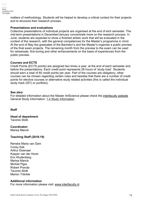$\begin{array}{c} \bullet \quad \bullet \quad \bullet \\ \bullet \quad \bullet \quad \bullet \end{array}$ Royal **Academy of Art** The Hague

> matters of methodology. Students will be helped to develop a critical context for their projects and to structure their research process.

#### **Presentations and evaluations**

Collective presentations of individual projects are organised at the end of eich semester. The mid-term presentations in December/January concentrate more on the research process. In June, students are expected to show a finished artistic work that will be evaluated in the context of the research, with the general competences for the Master's programme in mind. At the end of May the graduates of the Bachelor's and the Master's organise a public preview of the final exam projects. The remaining month from the preview to the exam can be used for rehearsals, fine-tuning and other enhancements on the basis of experiences from the public preview.

## **Courses and ECTS**

Credit Points (ECTS points) are assigned two times a year, at the end of each semester and before the presentations. Each credit point represents 28 hours of 'study load'. Students should earn a total of 60 credit points per year. Part of the courses are obligatory, other courses can be chosen regarding certain rules and besides that there are a number of credit points for elective courses or alternative study related activities (this is called the individual study track (IST) or portfolio).

#### **See also:**

For detailed information about the Master ArtScience please check the interfaculty website General Study Information: 1.4 Study Information

## **Staff**

**Head of department** Taconis Stolk

**Coordinator:** Marisa Manck

## **Teaching Staff (2018-19)**

Renske Maria van Dam Cocky Eek Arthur Elsenaar Kasper van der Horst Eric Kluitenberg Marisa Manck Michiel Pijpe Robert Pravda Taconis Stolk Marion Tränkle

## **Additional information**

For more information please visit: www.interfaculty.nl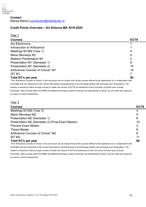## **Contact** Marisa Manck coordinator@interfaculty.nl

## **Credit Points Overview – Art Science MA 2019-2020**

| Year 1                                                                                                                                       |             |
|----------------------------------------------------------------------------------------------------------------------------------------------|-------------|
| <b>Courses</b>                                                                                                                               | <b>ECTS</b> |
| Ars Electronica                                                                                                                              |             |
| Introduction to ArtScience                                                                                                                   |             |
| Meetings M1/M2 (Year 1)                                                                                                                      | 4           |
| Manic Mondays M1                                                                                                                             | 4           |
| <b>Midterm Presentation M1</b>                                                                                                               | っ           |
| Presentation M1 (Semester 1)                                                                                                                 | 8           |
| Presentation M1 (Semester 2)                                                                                                                 | 15          |
| ArtScience Courses of Choice* M1                                                                                                             | 18          |
| <b>IST M1</b>                                                                                                                                |             |
| <b>Total EC's per year</b>                                                                                                                   | 60          |
| *The 'ArtScience Courses of Choice' in the curriculum can be chosen from all the courses offered by the department (or in collaboration with |             |

KC/KABK) that are mentioned in the Course Descriptions (including those in the Exchange Weeks with Sonology and Composition). The student is required to follow enough courses to obtain the amount of ECTS as mentioned in the Curriculum of his/her year of study. Eventually, other courses within KC/KABK and MediaTechnology (Leiden University) can alternatively be taken, but only after prior approval by coach or head of department.

## Year 2

| <b>Courses</b>                                                                                                                               | <b>ECTS</b> |
|----------------------------------------------------------------------------------------------------------------------------------------------|-------------|
| Meetings M1/M2 (Year 2)                                                                                                                      | 4           |
| Manic Mondays M2                                                                                                                             | 4           |
| Presentation M2 (Semester 1)                                                                                                                 | 8           |
| Presentation M2 (Semester 2) (Final Exam Master)                                                                                             | 15          |
| <b>Preview Exam Master</b>                                                                                                                   | 2           |
| <b>Thesis Master</b>                                                                                                                         | 8           |
| ArtScience Courses of Choice* M2                                                                                                             | 8           |
| <b>IST M2</b>                                                                                                                                | 11          |
| Total EC's per year                                                                                                                          | 60          |
| *The 'ArtScience Courses of Choice' in the curriculum can be chosen from all the courses offered by the department (or in collaboration with |             |
| KC/KARK) that are mentioned in the Course Descriptions (including those in the Exchange Weeks with Sonology and Composition). The            |             |

KC/KABK) that are mentioned in the Course Descriptions (including those in the Exchange Weeks with Sonology and Composition). The student is required to follow enough courses to obtain the amount of ECTS as mentioned in the Curriculum of his/her year of study. Eventually, other courses within KC/KABK and MediaTechnology (Leiden University) can alternatively be taken, but only after prior approval

by coach or head of department.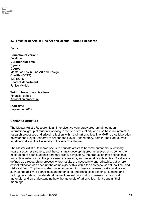## **2.3.4 Master of Arts in Fine Art and Design – Artistic Research**

#### **Facts**

**Educational variant** Full-time **Duration full-time** 2 years **Degree** Master of Arts in Fine Art and Design **Credits (ECTS)** 120 ECTS **Head of department** Janice McNab

**Tuition fee and applications** Financial details Application procedure

**Start date** September 2019

## **Content & structure**

The Master Artistic Research is an intensive two-year study program aimed at an international group of students working in the field of visual art, who also have an interest in research processes and critical reflection within their art practice. The MAR is a collaboration between the Royal Academy of Art and the Royal Conservatory, both in The Hague, who together make up the University of the Arts The Hague.

The Master Artistic Research seeks to educate artists to become autonomous, critically aware artistic researchers, and the constantly developing program places at its center the exploration of each student's personal creative trajectory, the production that defines this, and critical reflection on the processes, inspirations, and material results of this. Creativity is defined as a researching process where results are necessarily unpredictable, but where critical reflection can open up the complexity of this within the aesthetic, social, political, and historical field. Emphasis is also placed on extending classical research skills in all areas, such as the ability to gather relevant material; to undertake close reading, listening, and looking; to locate and understand connections within a matrix of research or archival materials; and on understanding how the materials of art practice might transmit their meanings.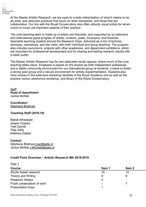At the Master Artistic Research, we are open to a wide interpretation of what it means to be an artist, and welcome practices that touch on other disciplines, and those that are collaborative. Our link with the Royal Conservatory also often attracts visual artists for whom sound or music are important aspects of their practice.

The core teaching team is made up of artists and theorists, and supported by an extensive and international guest program of artists, curators, poets, musicians, and theorists. Specialist teaching clusters around the Research Days, delivered as a mix of lectures, seminars, workshops, and site visits, with both individual and group teaching. The program also includes excursions, projects with other academies, and department exhibitions, which are important for professional development and for sharing and testing research results with a wider public.

The Master Artistic Research has its own dedicated studio spaces, where much of the core teaching takes place. Emphasis is placed on the studios as both independent workplaces and a stable community environment for our international group of students, a place to foster a strong peer-group and a secure environment for artistic experimentation. Students also have access to the extensive workshop facilities of the Royal Academy and as well as the practice rooms, electronics workshop, and library of the Royal Conservatory.

**Staff Head of department:** Janice McNab

#### **Coordinator:** Stéphane Blokhuis

## **Teaching Staff (2018-19)**

Babak Afrassiabi Jasper Coppes Yael Davids Thijs Witty Katarina Zdjelar

## **Contact**

Year 1

Stéphane Blokhuis mar@kabk.nl Janice McNab J.MCNab@kabk.nl

## **Credit Point Overview – Artistic Research MA 2018-2019**

| $\overline{\phantom{a}}$    |                          |       |  |
|-----------------------------|--------------------------|-------|--|
| <b>Course</b>               | Sem 1                    | Sem 2 |  |
| Studio based research       | 16                       | 13    |  |
| Theory and Writing          | 9                        | 8     |  |
| <b>Research Weeks</b>       |                          | -     |  |
| Public presentation of work | $\overline{\phantom{0}}$ |       |  |
| <b>Presentation Days</b>    |                          |       |  |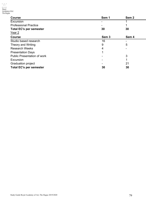| <b>Course</b>                      | Sem 1 | Sem <sub>2</sub> |
|------------------------------------|-------|------------------|
| Excursion                          |       |                  |
| <b>Professional Practice</b>       |       |                  |
| <b>Total EC's per semester</b>     | 30    | 30               |
| Year 2                             |       |                  |
| <b>Course</b>                      | Sem 3 | Sem 4            |
| Studio based research              | 16    |                  |
| Theory and Writing                 | 9     | 5                |
| <b>Research Weeks</b>              | 4     |                  |
| <b>Presentation Days</b>           |       |                  |
| <b>Public Presentation of work</b> |       | 3                |
| Excursion                          |       |                  |
| Graduation project                 |       | 21               |
| <b>Total EC's per semester</b>     | 30    | 30               |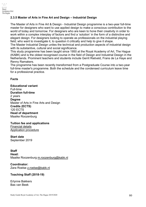## **2.3.5 Master of Arts in Fine Art and Design – Industrial Design**

The Master of Arts in Fine Art & Design - Industrial Design programme is a two-year full-time master for designers who want to use applied design to make a conscious contribution to the world of today and tomorrow. For designers who are keen to hone their creativity in order to work within a complex interplay of factors and find a 'solution' in the form of a distinctive and elegant design. For designers looking to operate as professionals on the industrial playing field; who want to investigate it, to question it critically and help to give it shape.

The Master Industrial Design unites the technical and production aspects of industrial design with its substantive, cultural and social significance.

This study programme has been taught since 1950 at the Royal Academy of Art, The Hague (KABK) and is the oldest recognised course in the field of Design and Industrial Design in the Netherlands. Prominent teachers and students include Gerrit Rietveld, Frans de La Haye and Renny Ramakers.

The programme has been recently transformed from a Postgraduate Course into a two-year full-time master's programme. Both the schedule and the condensed curriculum leave time for a professional practice.

#### **Facts**

**Educational variant** Full-time **Duration full-time** 2 years **Degree** Master of Arts in Fine Arts and Design **Credits (ECTS)** 120 ECTS **Head of department** Maaike Roozenburg

## **Tuition fee and applications**

Financial details Application procedure

**Start date** September 2019

## **Staff Head:** Maaike Roozenburg m.roozenburg@kabk.nl

## **Coordinator:**

Zara Roelse z.roelse@kabk.nl

## **Teaching Staff (2018-19)**

Erlynne Bakkers Bas van Beek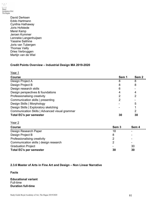David Derksen Eddo Hartmann Cynthia Hathaway Joris Hofstede Merel Kamp Jeroen Kummer Lenneke Langenhuijsen Yassine Salihine Joris van Tubergen Thomas Vailly Dries Verbruggen Martijn van de Wiel

# **Credit Points Overview – Industrial Design MA 2019-2020**

#### Year 1

| <b>Course</b>                                  | Sem 1 | Sem 2 |
|------------------------------------------------|-------|-------|
| Design Project A                               | 8     | 8     |
| Design Project B                               | 8     | 8     |
| Design research skills                         | 6     |       |
| Design perspectives & foundations              | 4     | 4     |
| Professionalising creativity                   |       | 2     |
| Communication skills   presenting              |       |       |
| Design Skills   Morphology                     |       | 5     |
| Design Skills   Exploratory sketching          |       |       |
| Communication Skills   Advanced visual grammar |       | 2     |
| <b>Total EC's per semester</b>                 | 30    | 30    |

## Year 2

| <b>Course</b>                          | Sem <sub>3</sub> | Sem 4 |
|----------------------------------------|------------------|-------|
| Design Research Paper                  | 18               |       |
| Design Project B                       | 8                |       |
| Professionalising creativity           |                  |       |
| Communication skills   design research |                  | -     |
| <b>Graduation Project</b>              |                  | 30    |
| <b>Total EC's per semester</b>         | 30               | 30    |

## **2.3.6 Master of Arts in Fine Art and Design – Non Linear Narrative**

**Facts**

**Educational variant** Full-time **Duration full-time**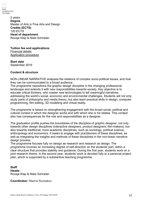$\begin{array}{c} \bullet \quad \bullet \quad \bullet \\ \bullet \quad \bullet \quad \bullet \end{array}$ Roval **Academy of Art The Hague** 

> 2 years **Degree** Master of Arts in Fine Arts and Design **Credits (ECTS)** 120 ECTS **Head of department** Roosje Klap & Niels Schrader

**Tuition fee and applications** Financial details Application procedure

**Start date** September 2019

#### **Content & structure**

NON LINEAR NARRATIVE analyses the relations of complex socio-political issues, and how they can be communicated to a broad audience.

The programme repositions the graphic design discipline in the changing professional landscape and extends it with new responsibilities towards society. Key objective is to educate critical thinkers, who master new technologies to tell meaningful narratives addressing the world's social, economic and environmental challenges. Students will not only study parts of philosophy and media theory, but also learn practical skills in design, computer programming, film editing, 3D modelling and virtual reality.

The programme is based on strengthening engagement with the broad social, political and cultural context in which the designer works and with which she or he relates. This context also has consequences for the role and responsibilities as a designer.

The graduation profile pushes the boundaries of the discipline of graphic designer, not only towards other design disciplines (interactive designers, product designers, film-makers), but also towards traditional, more academic disciplines, such as sociology, political science, anthropology and economics. It seeks to engage with practitioners of these disciplines, as well as integrating the insights and methods of these disciplines in the non-linear narrative design process.

The programme focuses fully on design as research and research as design. The programme involves an increasing degree of self-direction on the students' part, within a clear structure that provides stability and guidance. During the first year, students work on a joint research theme. In the second year, students' work is devoted fully to a personal project plan, which is supported by a substantive teaching programme.

**Staff Heads:** Roosje Klap & Niels Schrader

**Coordinator:** Macha Rousakov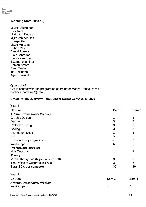$\begin{array}{cc} 0 & 0 & 0 \\ 0 & 0 & 0 \end{array}$ Royal<br>Academy of Art<br>The Hague

## **Teaching Staff (2018-19)**

Lauren Alexander Nick Axel Linda van Deursen Mijke van der Drift Roosje Klap Lizzie Malcolm Ruben Pater Daniel Powers Niels Schrader Saskia van Stein External examiner Ramon Amaro Deep Team Ina Hollmann Agata Jaworska

## **Questions?**

Year 2

Get in contact with the programme coordinator Macha Rousakov via nonlinearnarrative@kabk.nl

#### **Credit Points Overview – Non Linear Narrative MA 2019-2020**

| Year 1                                 |       |                  |
|----------------------------------------|-------|------------------|
| <b>Course</b>                          | Sem 1 | Sem <sub>2</sub> |
| <b>Artistic Professional Practice</b>  |       |                  |
| <b>Graphic Design</b>                  | 3     | 3                |
| Design                                 | 3     | 3                |
| <b>Reflective Design</b>               | 3     | 3                |
| Coding                                 | 3     | 3                |
| <b>Information Design</b>              | 3     | 3                |
| tbd                                    | 3     |                  |
| Individual project guidance            |       | 3                |
| Workshops                              | 5     | 5                |
| <b>Professional practice</b>           |       |                  |
| <b>NLN Tuesday</b>                     |       |                  |
| <b>Theory</b>                          |       |                  |
| Media Theory Lab (Mijke van der Drift) | 3     | 3                |
| The Optics of Culture (Nick Axel)      | 3     | 3                |
| <b>Total EC's per semester</b>         | 30    | 30               |

| <b>Course</b>                                      | Sem <sub>3</sub> | Sem 4 |
|----------------------------------------------------|------------------|-------|
| <b>Artistic Professional Practice</b><br>Workshops |                  |       |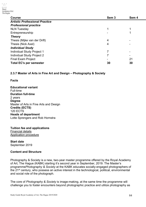$\frac{1}{2}$ Royal Academy of Art The Hague

| <b>Course</b>                         | Sem <sub>3</sub> | Sem 4 |
|---------------------------------------|------------------|-------|
| <b>Artistic Professional Practice</b> |                  |       |
| <b>Professional practice</b>          |                  |       |
| <b>NLN Tuesday</b>                    |                  |       |
| Entrepreneurship                      |                  |       |
| <b>Theory</b>                         |                  |       |
| Thesis (Mijke van der Drift)          | 4                |       |
| Thesis (Nick Axel)                    | 4                |       |
| <b>Individual Study</b>               |                  |       |
| <b>Individual Study Project 1</b>     |                  |       |
| Individual Study Project 2            |                  |       |
| <b>Final Exam Project</b>             |                  | 21    |
| <b>Total EC's per semester</b>        | 30               | 30    |

## **2.3.7 Master of Arts in Fine Art and Design – Photography & Society**

**Facts**

**Educational variant** Full-time **Duration full-time** 2 years **Degree** Master of Arts in Fine Arts and Design **Credits (ECTS)** 120 ECTS **Heads of department** Lotte Sprengers and Rob Hornstra

**Tuition fee and applications** Financial details Application procedure

**Start date** September 2019

## **Content and Structure**

Photography & Society is a new, two-year master programme offered by the Royal Academy of Art, The Hague (KABK) starting it's second year in September, 2019. The Master's programme*Photography & Society* at the KABK educates socially-engaged photographers of the 21<sup>st</sup> century, who possess an active interest in the technological, political, environmental and social role of the photograph.

The core of *Photography & Society* is image-making, at the same time the programme will challenge you to foster encounters beyond photographic practice and utilize photography as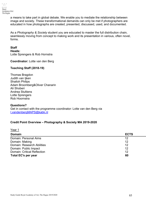$\begin{array}{c} \bullet \quad \bullet \quad \bullet \\ \bullet \quad \bullet \end{array}$ Royal Academy of Art The Hague

> a means to take part in global debate. We enable you to mediate the relationship between image and society. These transformational demands can only be met if photographers are educated in how photographs are created, presented, discussed, used, and documented.

As a *Photography & Society* student you are educated to master the full distribution chain, seamlessly moving from concept to making work and its presentation in various, often novel, forms.

**Staff**

**Heads:** Lotte Sprengers & Rob Hornstra

**Coordinator:** Lotte van den Berg

#### **Teaching Staff (2018-19)**

Thomas Bragdon Judith van Ijken Shailoh Philips Adam Broomberg&Oliver Chanarin Ali Shoberi Andrea Stultiens Lotte Sprengers Rob Hoornstra

#### **Questions?**

Get in contact with the programme coordinator: Lotte van den Berg via l.vandenbergMAPS@kabk.nl

## **Credit Point Overview – Photography & Society MA 2019-2020**

| Year 1                             |             |
|------------------------------------|-------------|
| <b>Domain</b>                      | <b>ECTS</b> |
| Domain: Personal Aims              | 12          |
| Domain: Making                     | 12          |
| <b>Domain: Research Abilities</b>  | 12          |
| Domain: Public Impact              | 12          |
| <b>Domain: Critical Reflection</b> | 12          |
| <b>Total EC's per year</b>         | 60          |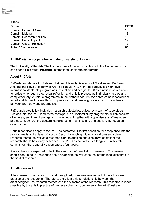$\mathcal{L}$ Roval **Academy of Art The Hague** 

Year 2

| <b>Domain</b>               | <b>ECTS</b> |
|-----------------------------|-------------|
| Domain: Personal Aims       | 12          |
| Domain: Making              | 12          |
| Domain: Research Abilities  | 12          |
| Domain: Public Impact       | 12          |
| Domain: Critical Reflection | 12          |
| Total EC's per year         | 60          |

## **2.4 PhDarts (In cooperation with the University of Leiden)**

The University of the Arts The Hague is one of the few art schools in the Netherlands that can offer a PhD route: **PhDArts**, international doctorate programme.

#### **About PhDArts**

PhDArts, a collaboration between Leiden University Academy of Creative and Performing Arts and the Royal Academy of Art, The Hague (KABK) in The Hague, is a high-level international doctorate programme in visual art and design. PhDArts functions as a platform for artists who regard theoretical reflection and artistic practice as intrinsically related and complementary. A unique programme in the Netherlands, PhDArts creates new possibilities for art and its practitioners through questioning and breaking down existing boundaries between art theory and art practice.

PhD candidates follow individual research trajectories, guided by a team of supervisors. Besides this, the PhD candidates participate in a doctoral study programme, which consists of lectures, seminars, trainings and workshops. Together with supervisors, staff members and guest teachers, the doctoral candidates form an inspiring and challenging research environment.

Certain conditions apply to the PhDArts doctorate. The first condition for acceptance into the programme is a high level of artistry. Secondly, each applicant should present a clear research theme, as well as a research plan. In addition, the discursive context of the research should be clearly described. The PhDArts doctorate is a long- term research commitment that generally encompasses four years.

Researchers are expected to be in the vanguard of their fields of research. The research should contribute to knowledge about art/design, as well as to the international discourse in the field of research.

#### **Artistic research**

Artistic research, or research in and through art, is an inseparable part of the art or design practice of the researcher. Therefore, there is a unique relationship between the artist/designer, the research method and the outcome of the research. This research is made possible by the artistic practice of the researcher, and, conversely, the artist/designer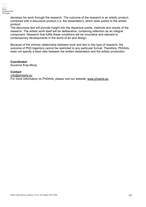develops his work through the research. The outcome of the research is an artistic product, combined with a discursive product (i.e. the dissertation), which does justice to the artistic product.

The discursive text will provide insight into the departure points, methods and results of the research. The artistic work itself will be deliberative, containing reflection as an integral component. Research that fulfils these conditions will be innovative and relevant to contemporary developments in the world of art and design.

Because of the intrinsic relationship between work and text in this type of research, the outcome of PhD trajectory cannot be restricted to any particular format. Therefore, PhDArts does not specify a fixed ratio between the written dissertation and the artistic production.

**Coordinator** Suzanne Knip-Mooij

#### **Contact**

info@phdarts.eu For more information on PhDArts, please visit our website: www.phdarts.eu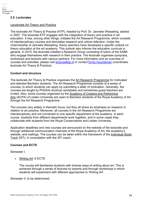## **2.5. Lectorates**

### Lecotorate Art Theory and Practice

The lectorate Art Theory & Practice (KTP), headed by Prof. Dr. Janneke Wesseling, started in 2007. The lectorate KTP engages with the integration of theory and practice in art education. It has, among other things, initiated the Art Research Programme, which consists of interdisciplinary courses and stimulates research and critical reflection. Under the chairmanship of Janneke Wesseling, theory teachers have developed a specific outlook on theory education at the art academy. This outlook also informs the education curricula in general. In 2015, the lectorate initiated a Research Group consisting of tutors of the KABK who engage themselves with research in their practice. The lectorate organises symposia, workshops and lectures with various partners. For more information and an overview of courses and activities, please visit lectoraatktp.nl or contact Emily Huurdeman (coordinator lectorate Art Theory & Practice).

#### **Content and structure**

The lectorate Art Theory & Practice organises the Art Research Programme for motivated and talented Bachelor students. The Art Research Programme consists of a series of courses, to which students can apply by submitting a letter of motivation. Generally, the courses are taught by PhDArts doctoral candidates and sometimes guest teachers are invited. Also, some courses organised by the Academy of Creative and Performing Arts (ACPA) of Leiden University are open to Bachelor students of the Royal Academy of Art through the Art Research Programme.

The courses vary widely in thematic focus, but they all share an emphasis on research in relation to art practice. Moreover, all courses in the Art Research Programme are interdisciplinary and not connected to one specific department of the academy. In each course, students from different departments work together, and in some cases they collaborate with students from the Royal Conservatoire and Leiden University.

Application deadlines and new courses are announced on the website of the lectorate and through additional communication channels of the Royal Academy of Art, the academy's website, and mailings. The courses can be taken within the framework of the Individual Study Track (IST), in consultation with the IST coach.

## **Courses and ECTS**

Semester I:

• Writing Art: 6 ECTS

The course will familiarise students with diverse ways of writing about art. This is achieved through a series of lectures by experts and through workshops in which students will experiment with different approaches to 'Writing Art'.

Semester II: to be determined.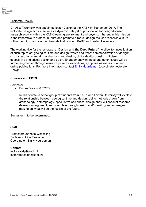$\begin{array}{c} \bullet \quad \bullet \quad \bullet \\ \bullet \quad \bullet \quad \bullet \end{array}$ Royal **Academy of Art The Hague** 

#### Lectorate Design

Dr. Alice Twemlow was appointed lector Design at the KABK in September 2017. The lectorate Design aims to serve as a dynamic catalyst or provocation for design-focused research activity within the KABK learning environment and beyond. Inherent in this mission is the imperative to surface, nurture and promote a robust design-focused research culture within the KABK and via the channels that connect KABK and Leiden University.

The working title for the lectorate is '**'Design and the Deep Future**'', to allow for investigation of such topics as: geological time and design; waste and trash; dematerialization of design; circular economy; repair; non-humans and design; digital detritus; design criticism; speculative and critical design and so on. Engagement with these and other issues will be further augmented through research projects, exhibitions, symposia as well as print and online publications. For more information contact Emily Huurdeman (coordinator lectorate Design).

## **Courses and ECTS**

#### Semester I:

• Future Fossils: 6 ECTS

In this course, a select group of students from KABK and Leiden University will explore the relationship between geological time and design. Using methods drawn from archaeology, anthropology, speculative and critical design, they will conduct research, develop an argument, and speculate through design and/or writing and/or imagemaking on what will be the fossils of the future.

Semester II: to be determined.

#### **Staff**

Professor: Janneke Wesseling Professor: Alice Twemlow Coordinator: Emily Huurdeman

**Contact** lectoraatktp@kabk.nl lectoratedesign@kabk.nl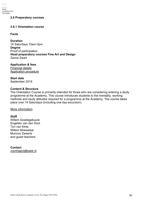$\begin{array}{c} \bullet \quad \bullet \quad \bullet \\ \bullet \quad \bullet \end{array}$ Royal Academy of Art The Hague

#### **2.6 Preparatory courses**

#### **2.6.1 Orientation course**

#### **Facts**

**Duration** 14 Saturdays 10am-3pm **Degree** Proof of participation **Head preparatory courses Fine Art and Design** Zanne Zwart

**Application & fees**  Financial details Application procedure

**Start date** September 2019

#### **Content & Structure**

The Orientation Course is primarily intended for those who are considering entering a study programme at the Academy. This course introduces students to the mentality, working methods and study attitudes required for a programme at the Academy. The course takes place over 14 Saturdays (including one day excursion).

#### More information

#### **Staff**

Willem Goedegebuure Engelien van den Dool Ton van Kints Willem Moeselaar Munnus Zweerts and guest teachers

**Contact** voortraject@kabk.nl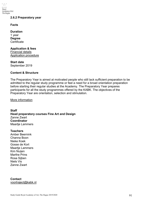$\begin{array}{c} \bullet \quad \bullet \quad \bullet \\ \bullet \quad \bullet \end{array}$ Royal Academy of Art The Hague

#### **2.6.2 Preparatory year**

#### **Facts**

**Duration** 1 year **Degree Certificate** 

**Application & fees**  Financial details Application procedure

**Start date** September 2019

#### **Content & Structure**

The Preparatory Year is aimed at motivated people who still lack sufficient preparation to be admitted to the regular study programme or feel a need for a broad orientation preparation before starting their regular studies at the Academy. The Preparatory Year prepares participants for all the study programmes offered by the KABK. The objectives of the Preparatory Year are orientation, selection and stimulation.

More information

**Staff Head preparatory courses Fine Art and Design** Zanne Zwart **Coordinator** Maartje Lammers

#### **Teachers**

Amber Beernink Channa Boon Nieke Koek Gosse de Kort Maartje Lammers Kim Nuijen Marthe Prins Rosa Sijben Niels Vis Zanne Zwart

**Contact** voortraject@kabk.nl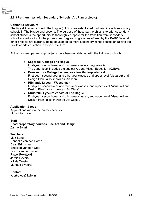## **2.6.3 Partnerships with Secondary Schools (Art Plan projects)**

#### **Content & Structure**

The Royal Academy of Art, The Hague (KABK) has established partnerships with secondary schools in The Hague and beyond. The purpose of these partnerships is to offer secondary school students the opportunity to thoroughly prepare for the transition from secondary school arts education to the professional degree programmes offered by the KABK.Several other projects are currently being developed as more secondary schools focus on raising the profile of arts education in their curriculum.

At the moment, partnership projects have been established with the following schools:

## • **Segbroek College The Hague**

First-year, second-year and third-year classes 'Segbroek Art'. The upper level includes the subject Art and Visual Education (KUBV).

- **Bonaventura College Leiden, location Marienpoelstraat** First-year, second-year and third-year classes and upper level 'Visual Art and Design Plan', also known as 'Art Plan'.
- **Rijnlands Lyceum Wassenaar** First-year, second-year and third-year classes, and upper level 'Visual Art and Design Plan', also known as 'Art Class'.
- **Christelijk Lyceum Zandvliet The Hague** First-year, second-year and third-year classes, and upper level 'Visual Art and Design Plan', also known as 'Art Class'.

## **Application & fees**

Applications run via the partner schools More information

**Staff Head preparatory courses Fine Art and Design** Zanne Zwart

## **Teachers**

Max Bong Hanneke van den Borne Daan Brinkmann Engelien van den Dool Guido van der Linden Pawel Pokutycki Jordie Rovers Nikkie Wester Munnus Zweerts

**Contact**

voortraject@kabk.nl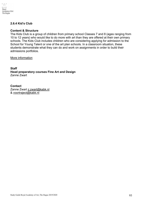## **2.6.4 Kid's Club**

#### **Content & Structure**

The Kids Club is a group of children from primary school Classes 7 and 8 (ages ranging from 10 to 12 years) who would like to do more with art than they are offered at their own primary schools. The Kids Club includes children who are considering applying for admission to the School for Young Talent or one of the art plan schools. In a classroom situation, these students demonstrate what they can do and work on assignments in order to build their admissions portfolios.

More information

**Staff Head preparatory courses Fine Art and Design** Zanne Zwart

## **Contact**

Zanne Zwart z.zwart@kabk.nl & voortraject@kabk.nl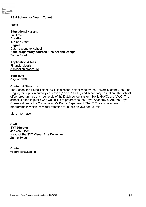$\begin{array}{c} \bullet \quad \bullet \quad \bullet \\ \bullet \quad \bullet \end{array}$ Royal Academy of Art The Hague

## **2.6.5 School for Young Talent**

#### **Facts**

**Educational variant** Full-time **Duration** 4, 5 or 6 years **Degree** Dutch secondary school **Head preparatory courses Fine Art and Design** Zanne Zwart

#### **Application & fees**  Financial details

Application procedure

**Start date** August 2019

## **Content & Structure**

The School for Young Talent (SYT) is a school established by the University of the Arts, The Hague, for pupils in primary education (Years 7 and 8) and secondary education. The school offers programmes at three levels of the Dutch school system: HAS, HAVO, and VWO. The school is open to pupils who would like to progress to the Royal Academy of Art, the Royal Conservatoire or the Conservatoire's Dance Department. The SYT is a small-scale programme in which individual attention for pupils plays a central role.

More information

**Staff SYT Director** Jan van Bilsen **Head of the SYT Visual Arts Department** Zanne Zwart

**Contact** voortraject@kabk.nl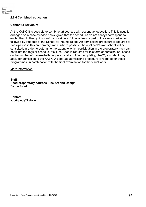## **2.6.6 Combined education**

## **Content & Structure**

At the KABK, it is possible to combine art courses with secondary education. This is usually arranged on a case-by-case basis, given that the schedules do not always correspond to each other. In theory, it should be possible to follow at least a part of the same curriculum followed by students of the School for Young Talent. An admissions procedure is required for participation in this preparatory track. Where possible, the applicant's own school will be consulted, in order to determine the extent to which participation in the preparatory track can be fit into the regular school curriculum. A fee is required for this form of participation, based on the number of classes/half-day periods taken. After completing HAVO, a student may apply for admission to the KABK. A separate admissions procedure is required for these programmes, in combination with the final examination for the visual work.

## More information

**Staff Head preparatory courses Fine Art and Design** Zanne Zwart

**Contact** voortraject@kabk.nl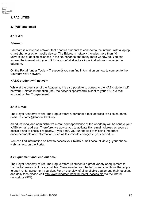## **3. FACILITIES**

## **3.1 WiFi and email**

#### **3.1.1 Wifi**

#### **Eduroam**

Eduroam is a wireless network that enables students to connect to the internet with a laptop, smart phone or other mobile device. The Eduroam network includes more than 40 universities of applied sciences in the Netherlands and many more worldwide. You can access the internet with your *KABK account* at all educational institutions connected to eduroam.

On the Portal (under Tools > IT support) you can find information on how to connect to the Eduroam WiFi network.

#### **KABK-student wifi network**

While at the premises of the Academy, it is also possible to conect to the KABK-student wifi network. Related information (incl. the network'spassword) is sent to your KABK e-mail account by the IT department.

### **3.1.2 E-mail**

The Royal Academy of Art, The Hague offers a personal e-mail address to all its students (initial.lastname@student.kabk.nl).

All educational and administrative e-mail correspondence of the Academy will be sent to your KABK e-mail address. Therefore, we advise you to activate this e-mail address as soon as possible and to check it regularly. If you don't, you run the risk of missing important announcements and information, such as last-minute changes in your schedule.

You can find information on how to access your KABK e-mail account via e.g. your phone, webmail etc. on the Portal.

#### **3.2 Equipment and lend out desk**

The Royal Academy of Art, The Hague offers its students a great variety of equipment to borrow for free or rent for a small fee. Make sure to read the terms and conditions that apply to each rental agreement you sign. For an overview of all available equipment, their locations and daily fees please visit http://werkplaatsen.kabk.nl/rental (accessible via the interal network or VPN).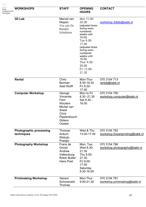| $\frac{1}{2}$ , $\frac{1}{2}$ , $\frac{1}{2}$      |                                              |                                                                                                                    |                                                                                                                                                                                                                                         |                                                  |
|----------------------------------------------------|----------------------------------------------|--------------------------------------------------------------------------------------------------------------------|-----------------------------------------------------------------------------------------------------------------------------------------------------------------------------------------------------------------------------------------|--------------------------------------------------|
| Royal<br><b>Academy of Art</b><br><b>The Hague</b> | <b>WORKSHOPS</b>                             | <b>STAFF</b>                                                                                                       | <b>OPENING</b><br><b>HOURS</b>                                                                                                                                                                                                          | <b>CONTACT</b>                                   |
|                                                    | 3D Lab                                       | Marcel van<br>Nispen<br>Yvo van Os<br>Ronald<br><b>Scholtens</b>                                                   | Mon 11.00-<br>20.00<br>(adjusted times<br>during even-<br>numbered<br>weeks until<br>16.00)<br>Tue 9.00-<br>17.00<br>(adjusted times<br>during even-<br>numbered<br>weeks until<br>18.30)<br>Thur 9.00-<br>20.00<br>Fri 13.00-<br>21.30 | workshop.3dlab@kabk.nl                           |
|                                                    | <b>Rental</b>                                | Chris<br><b>Borman</b><br><b>Abel Wolff</b>                                                                        | Mon-Thur<br>8.30-19.30<br>Fri 8.30-<br>17.00                                                                                                                                                                                            | 070 3154 713<br>rental@kabk.nl                   |
|                                                    | <b>Computer Workshop</b>                     | George<br>Vincentie<br>Ferri<br><b>Wouters</b><br>Michel van<br>Soest<br>Chris<br>Pieplenbosch<br>Gideon<br>Oosten | Mon to Fri<br>8.30 - 21.30<br>Sat 9.30 -<br>16.00                                                                                                                                                                                       | 070 3154 790<br>workshop.computer@kabk.nl        |
|                                                    | <b>Photographic processing</b><br>techniques | Thomas<br>Ankum<br>Widodo<br>Poedjio                                                                               | Wed & Thu<br>13.00-17.00                                                                                                                                                                                                                | 070 3154 782<br>workshop.fineartprinting@kabk.nl |
|                                                    | <b>Photography Workshop</b>                  | Frans de<br>Grood<br>Andrew<br>Valkenburg<br><b>Robin Butter</b><br><b>Hans Poel</b>                               | Mon, Tue,<br>Wed 8.30-<br>21.30<br>Thu 9.00-<br>21.30<br>Fri 9.00-<br>17.00<br>Saturday<br>9.30-16.00                                                                                                                                   | 070 3154 786<br>workshop.photography@kabk.nl     |
|                                                    | <b>Printmaking Workshop</b>                  | Gerard<br>Schoneveld<br>Thomas                                                                                     | Mon-Thur<br>9.00-21.30                                                                                                                                                                                                                  | 070 3154 781<br>workshop.printmaking@kabk.nl     |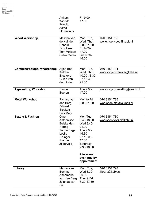|                                   | Ankum<br>Widodo<br>Poedijo<br>Astrid<br><b>Florentinus</b>                                              | Fri 9.00-<br>17.00                                                                                                                                            |                                           |
|-----------------------------------|---------------------------------------------------------------------------------------------------------|---------------------------------------------------------------------------------------------------------------------------------------------------------------|-------------------------------------------|
| <b>Wood Workshop</b>              | Mascha van<br>de Kuinder<br>Ronald<br><b>Scholtens</b><br><b>Tom Vollaart</b><br>Sabin Garea            | Mon, Tue,<br>Wed, Thur<br>9.00-21.30<br>Fri 9.00-<br>17.00<br>Sat 9.30-<br>16.00                                                                              | 070 3154 785<br>workshop.wood@kabk.nl     |
| <b>Ceramics/SculptureWorkshop</b> | Arjen Bos<br>Katrein<br><b>Breukers</b><br>Guido van<br>der Linden                                      | Mon, Tue,<br>Wed, Thur<br>10.00-18.30<br>Fri 13.30-<br>21.30                                                                                                  | 070 3154 794<br>workshop.ceramics@kabk.nl |
| <b>Typesetting Workshop</b>       | Sanne<br><b>Beeren</b>                                                                                  | Tue 9.00-<br>17.00                                                                                                                                            | workshop.typesetting@kabk.nl              |
| <b>Metal Workshop</b>             | Richard van<br>den Berg<br>Eduard<br>Sjoukes<br>Luis Maly                                               | Mon to Fri<br>9.00-21.00                                                                                                                                      | 070 3154 785<br>workshop.metal@kabk.nl    |
| <b>Textile &amp; Fashion</b>      | Gino<br>Anthonisse<br>Beleke den<br>Hartog<br>Tardia Page<br>Leslie<br>Eisinger<br>Rianne<br>Zijderveld | Mon-Tue<br>8.45-18.00<br>Wed 8.45-<br>21.00<br>Thu 9.00-<br>16.30<br>Fri 10.00-<br>17.00<br>Saturday<br>9.30-16.00<br>+ in some<br>evenings by<br>appointment | 070 3154 780<br>workshop.textile@kabk.nl  |
| Library                           | Marcel van<br><b>Bommel</b><br>Annemarie<br>van den Berg<br>Jolanda van<br>Os                           | Mon, Tue,<br>Wed 8.30-<br>20.00<br>Thur & Fri<br>8.30-17.30                                                                                                   | 070 3154 798<br>library@kabk.nl           |